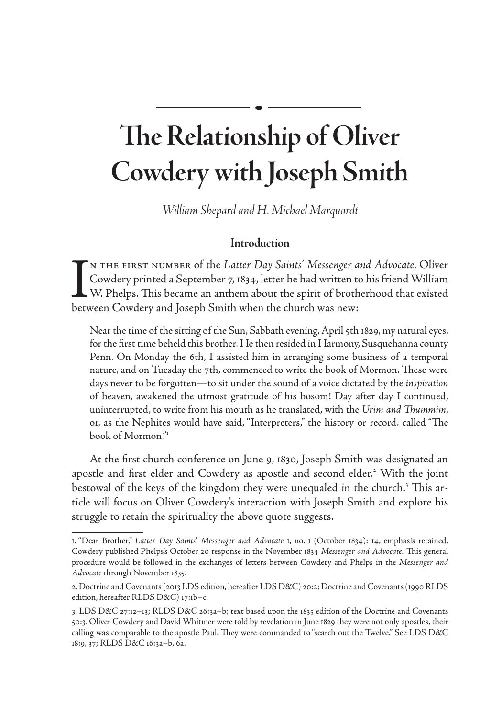## **The Relationship of Oliver Cowdery with Joseph Smith**

*William Shepard and H. Michael Marquardt*

## **Introduction**

IN THE FIRST NUMBER of the *Latter Day Saints' Messenger an* Cowdery printed a September 7, 1834, letter he had written to W. Phelps. This became an anthem about the spirit of broth between Cowdery and Joseph Smith when th n the first number of the *Latter Day Saints' Messenger and Advocate,* Oliver Cowdery printed a September 7, 1834, letter he had written to his friend William W. Phelps. This became an anthem about the spirit of brotherhood that existed

Near the time of the sitting of the Sun, Sabbath evening, April 5th 1829, my natural eyes, for the first time beheld this brother. He then resided in Harmony, Susquehanna county Penn. On Monday the 6th, I assisted him in arranging some business of a temporal nature, and on Tuesday the 7th, commenced to write the book of Mormon. These were days never to be forgotten—to sit under the sound of a voice dictated by the *inspiration* of heaven, awakened the utmost gratitude of his bosom! Day after day I continued, uninterrupted, to write from his mouth as he translated, with the *Urim and Thummim*, or, as the Nephites would have said, "Interpreters," the history or record, called "The book of Mormon."1

At the first church conference on June 9, 1830, Joseph Smith was designated an apostle and first elder and Cowdery as apostle and second elder.<sup>2</sup> With the joint bestowal of the keys of the kingdom they were unequaled in the church.<sup>3</sup> This article will focus on Oliver Cowdery's interaction with Joseph Smith and explore his struggle to retain the spirituality the above quote suggests.

<sup>1. &</sup>quot;Dear Brother," *Latter Day Saints' Messenger and Advocate* 1, no. 1 (October 1834): 14, emphasis retained. Cowdery published Phelps's October 20 response in the November 1834 *Messenger and Advocate.* This general procedure would be followed in the exchanges of letters between Cowdery and Phelps in the *Messenger and Advocate* through November 1835.

<sup>2.</sup> Doctrine and Covenants (2013 LDS edition, hereafter LDS D&C) 20:2; Doctrine and Covenants (1990 RLDS edition, hereafter RLDS D&C) 17:1b–c.

<sup>3.</sup> LDS D&C 27:12–13; RLDS D&C 26:3a–b; text based upon the 1835 edition of the Doctrine and Covenants 50:3. Oliver Cowdery and David Whitmer were told by revelation in June 1829 they were not only apostles, their calling was comparable to the apostle Paul. They were commanded to "search out the Twelve." See LDS D&C 18:9, 37; RLDS D&C 16:3a–b, 6a.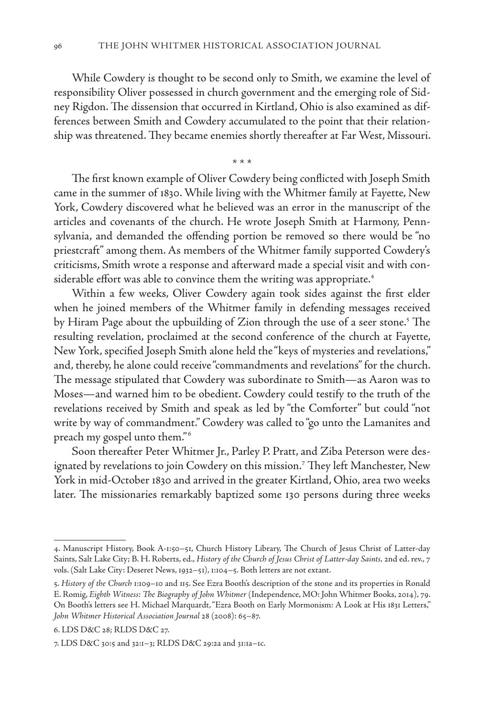While Cowdery is thought to be second only to Smith, we examine the level of responsibility Oliver possessed in church government and the emerging role of Sidney Rigdon. The dissension that occurred in Kirtland, Ohio is also examined as differences between Smith and Cowdery accumulated to the point that their relationship was threatened. They became enemies shortly thereafter at Far West, Missouri.

\* \* \*

The first known example of Oliver Cowdery being conflicted with Joseph Smith came in the summer of 1830. While living with the Whitmer family at Fayette, New York, Cowdery discovered what he believed was an error in the manuscript of the articles and covenants of the church. He wrote Joseph Smith at Harmony, Pennsylvania, and demanded the offending portion be removed so there would be "no priestcraft" among them. As members of the Whitmer family supported Cowdery's criticisms, Smith wrote a response and afterward made a special visit and with considerable effort was able to convince them the writing was appropriate.<sup>4</sup>

Within a few weeks, Oliver Cowdery again took sides against the first elder when he joined members of the Whitmer family in defending messages received by Hiram Page about the upbuilding of Zion through the use of a seer stone.<sup>5</sup> The resulting revelation, proclaimed at the second conference of the church at Fayette, New York, specified Joseph Smith alone held the "keys of mysteries and revelations," and, thereby, he alone could receive "commandments and revelations" for the church. The message stipulated that Cowdery was subordinate to Smith—as Aaron was to Moses—and warned him to be obedient. Cowdery could testify to the truth of the revelations received by Smith and speak as led by "the Comforter" but could "not write by way of commandment." Cowdery was called to "go unto the Lamanites and preach my gospel unto them." 6

Soon thereafter Peter Whitmer Jr., Parley P. Pratt, and Ziba Peterson were designated by revelations to join Cowdery on this mission.7 They left Manchester, New York in mid-October 1830 and arrived in the greater Kirtland, Ohio, area two weeks later. The missionaries remarkably baptized some 130 persons during three weeks

<sup>4.</sup> Manuscript History, Book A-1:50–51, Church History Library, The Church of Jesus Christ of Latter-day Saints, Salt Lake City; B. H. Roberts, ed., *History of the Church of Jesus Christ of Latter-day Saints,* 2nd ed. rev., 7 vols. (Salt Lake City: Deseret News, 1932–51), 1:104–5. Both letters are not extant.

<sup>5.</sup> *History of the Church* 1:109–10 and 115. See Ezra Booth's description of the stone and its properties in Ronald E. Romig, *Eighth Witness: The Biography of John Whitmer* (Independence, MO: John Whitmer Books, 2014), 79. On Booth's letters see H. Michael Marquardt, "Ezra Booth on Early Mormonism: A Look at His 1831 Letters," *John Whitmer Historical Association Journal* 28 (2008): 65–87.

<sup>6.</sup> LDS D&C 28; RLDS D&C 27.

<sup>7.</sup> LDS D&C 30:5 and 32:1–3; RLDS D&C 29:2a and 31:1a–1c.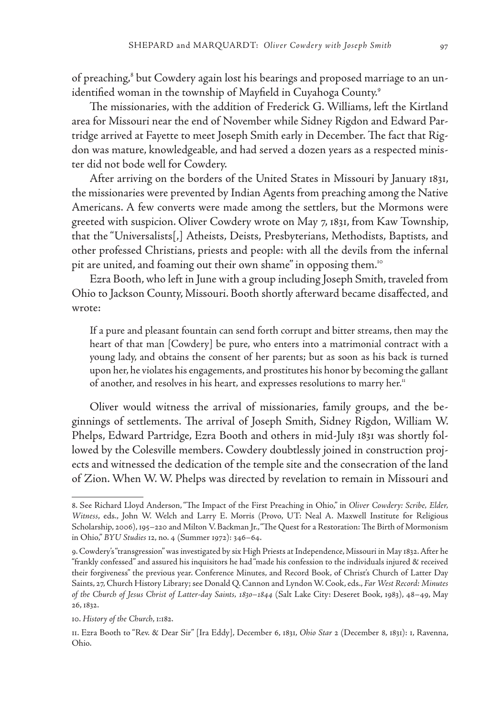of preaching,<sup>8</sup> but Cowdery again lost his bearings and proposed marriage to an unidentified woman in the township of Mayfield in Cuyahoga County.<sup>9</sup>

The missionaries, with the addition of Frederick G. Williams, left the Kirtland area for Missouri near the end of November while Sidney Rigdon and Edward Partridge arrived at Fayette to meet Joseph Smith early in December. The fact that Rigdon was mature, knowledgeable, and had served a dozen years as a respected minister did not bode well for Cowdery.

After arriving on the borders of the United States in Missouri by January 1831, the missionaries were prevented by Indian Agents from preaching among the Native Americans. A few converts were made among the settlers, but the Mormons were greeted with suspicion. Oliver Cowdery wrote on May 7, 1831, from Kaw Township, that the "Universalists[,] Atheists, Deists, Presbyterians, Methodists, Baptists, and other professed Christians, priests and people: with all the devils from the infernal pit are united, and foaming out their own shame" in opposing them.<sup>10</sup>

Ezra Booth, who left in June with a group including Joseph Smith, traveled from Ohio to Jackson County, Missouri. Booth shortly afterward became disaffected, and wrote:

If a pure and pleasant fountain can send forth corrupt and bitter streams, then may the heart of that man [Cowdery] be pure, who enters into a matrimonial contract with a young lady, and obtains the consent of her parents; but as soon as his back is turned upon her, he violates his engagements, and prostitutes his honor by becoming the gallant of another, and resolves in his heart, and expresses resolutions to marry her.<sup>11</sup>

Oliver would witness the arrival of missionaries, family groups, and the beginnings of settlements. The arrival of Joseph Smith, Sidney Rigdon, William W. Phelps, Edward Partridge, Ezra Booth and others in mid-July 1831 was shortly followed by the Colesville members. Cowdery doubtlessly joined in construction projects and witnessed the dedication of the temple site and the consecration of the land of Zion. When W. W. Phelps was directed by revelation to remain in Missouri and

<sup>8.</sup> See Richard Lloyd Anderson, "The Impact of the First Preaching in Ohio," in *Oliver Cowdery: Scribe, Elder, Witness*, eds., John W. Welch and Larry E. Morris (Provo, UT: Neal A. Maxwell Institute for Religious Scholarship, 2006), 195–220 and Milton V. Backman Jr., "The Quest for a Restoration: The Birth of Mormonism in Ohio," *BYU Studies* 12, no. 4 (Summer 1972): 346–64.

<sup>9.</sup> Cowdery's "transgression" was investigated by six High Priests at Independence, Missouri in May 1832. After he "frankly confessed" and assured his inquisitors he had "made his confession to the individuals injured & received their forgiveness" the previous year. Conference Minutes, and Record Book, of Christ's Church of Latter Day Saints, 27, Church History Library; see Donald Q. Cannon and Lyndon W. Cook, eds., *Far West Record: Minutes of the Church of Jesus Christ of Latter-day Saints, 1830–1844* (Salt Lake City: Deseret Book, 1983), 48–49, May 26, 1832.

<sup>10.</sup> *History of the Church*, 1:182.

<sup>11.</sup> Ezra Booth to "Rev. & Dear Sir" [Ira Eddy], December 6, 1831, *Ohio Star* 2 (December 8, 1831): 1, Ravenna, Ohio.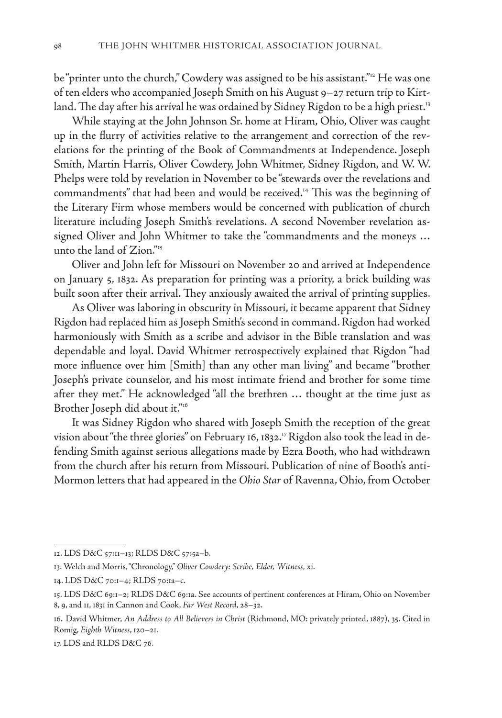be "printer unto the church," Cowdery was assigned to be his assistant."<sup>12</sup> He was one of ten elders who accompanied Joseph Smith on his August 9–27 return trip to Kirtland. The day after his arrival he was ordained by Sidney Rigdon to be a high priest.<sup>13</sup>

While staying at the John Johnson Sr. home at Hiram, Ohio, Oliver was caught up in the flurry of activities relative to the arrangement and correction of the revelations for the printing of the Book of Commandments at Independence. Joseph Smith, Martin Harris, Oliver Cowdery, John Whitmer, Sidney Rigdon, and W. W. Phelps were told by revelation in November to be "stewards over the revelations and commandments" that had been and would be received.<sup>14</sup> This was the beginning of the Literary Firm whose members would be concerned with publication of church literature including Joseph Smith's revelations. A second November revelation assigned Oliver and John Whitmer to take the "commandments and the moneys … unto the land of Zion."15

Oliver and John left for Missouri on November 20 and arrived at Independence on January 5, 1832. As preparation for printing was a priority, a brick building was built soon after their arrival. They anxiously awaited the arrival of printing supplies.

As Oliver was laboring in obscurity in Missouri, it became apparent that Sidney Rigdon had replaced him as Joseph Smith's second in command. Rigdon had worked harmoniously with Smith as a scribe and advisor in the Bible translation and was dependable and loyal. David Whitmer retrospectively explained that Rigdon "had more influence over him [Smith] than any other man living" and became "brother Joseph's private counselor, and his most intimate friend and brother for some time after they met." He acknowledged "all the brethren … thought at the time just as Brother Joseph did about it."<sup>16</sup>

It was Sidney Rigdon who shared with Joseph Smith the reception of the great vision about "the three glories" on February 16, 1832.<sup>17</sup> Rigdon also took the lead in defending Smith against serious allegations made by Ezra Booth, who had withdrawn from the church after his return from Missouri. Publication of nine of Booth's anti-Mormon letters that had appeared in the *Ohio Star* of Ravenna, Ohio, from October

<sup>12.</sup> LDS D&C 57:11–13; RLDS D&C 57:5a–b.

<sup>13.</sup> Welch and Morris, "Chronology," *Oliver Cowdery: Scribe, Elder, Witness,* xi.

<sup>14.</sup> LDS D&C 70:1–4; RLDS 70:1a–c.

<sup>15.</sup> LDS D&C 69:1–2; RLDS D&C 69:1a. See accounts of pertinent conferences at Hiram, Ohio on November 8, 9, and 11, 1831 in Cannon and Cook, *Far West Record*, 28–32.

<sup>16.</sup> David Whitmer, *An Address to All Believers in Christ* (Richmond, MO: privately printed, 1887), 35. Cited in Romig, *Eighth Witness*, 120–21.

<sup>17.</sup> LDS and RLDS D&C 76.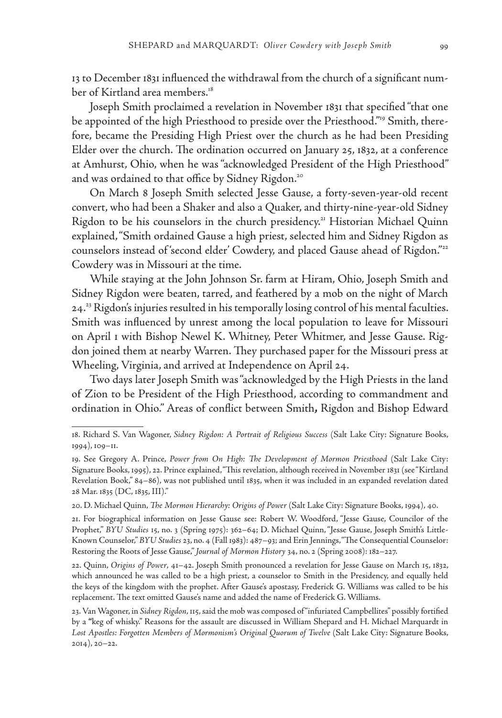13 to December 1831 influenced the withdrawal from the church of a significant number of Kirtland area members.<sup>18</sup>

Joseph Smith proclaimed a revelation in November 1831 that specified "that one be appointed of the high Priesthood to preside over the Priesthood."19 Smith, therefore, became the Presiding High Priest over the church as he had been Presiding Elder over the church. The ordination occurred on January 25, 1832, at a conference at Amhurst, Ohio, when he was "acknowledged President of the High Priesthood" and was ordained to that office by Sidney Rigdon.<sup>20</sup>

On March 8 Joseph Smith selected Jesse Gause, a forty-seven-year-old recent convert, who had been a Shaker and also a Quaker, and thirty-nine-year-old Sidney Rigdon to be his counselors in the church presidency.<sup>21</sup> Historian Michael Quinn explained, "Smith ordained Gause a high priest, selected him and Sidney Rigdon as counselors instead of 'second elder' Cowdery, and placed Gause ahead of Rigdon."<sup>22</sup> Cowdery was in Missouri at the time.

While staying at the John Johnson Sr. farm at Hiram, Ohio, Joseph Smith and Sidney Rigdon were beaten, tarred, and feathered by a mob on the night of March 24.<sup>23</sup> Rigdon's injuries resulted in his temporally losing control of his mental faculties. Smith was influenced by unrest among the local population to leave for Missouri on April 1 with Bishop Newel K. Whitney, Peter Whitmer, and Jesse Gause. Rigdon joined them at nearby Warren. They purchased paper for the Missouri press at Wheeling, Virginia, and arrived at Independence on April 24.

Two days later Joseph Smith was "acknowledged by the High Priests in the land of Zion to be President of the High Priesthood, according to commandment and ordination in Ohio." Areas of conflict between Smith**,** Rigdon and Bishop Edward

<sup>18.</sup> Richard S. Van Wagoner, *Sidney Rigdon: A Portrait of Religious Success* (Salt Lake City: Signature Books, 1994), 109–11.

<sup>19.</sup> See Gregory A. Prince, *Power from On High: The Development of Mormon Priesthood* (Salt Lake City: Signature Books, 1995), 22. Prince explained, "This revelation, although received in November 1831 (see "Kirtland Revelation Book," 84–86), was not published until 1835, when it was included in an expanded revelation dated 28 Mar. 1835 (DC, 1835, III)."

<sup>20.</sup> D. Michael Quinn, *The Mormon Hierarchy: Origins of Power* (Salt Lake City: Signature Books, 1994), 40.

<sup>21.</sup> For biographical information on Jesse Gause see: Robert W. Woodford, "Jesse Gause, Councilor of the Prophet," *BYU Studies* 15, no. 3 (Spring 1975): 362–64; D. Michael Quinn, "Jesse Gause, Joseph Smith's Little-Known Counselor," *BYU Studies* 23, no. 4 (Fall 1983): 487–93; and Erin Jennings, "The Consequential Counselor: Restoring the Roots of Jesse Gause," *Journal of Mormon History* 34, no. 2 (Spring 2008): 182–227.

<sup>22.</sup> Quinn, *Origins of Power*, 41–42. Joseph Smith pronounced a revelation for Jesse Gause on March 15, 1832, which announced he was called to be a high priest, a counselor to Smith in the Presidency, and equally held the keys of the kingdom with the prophet. After Gause's apostasy, Frederick G. Williams was called to be his replacement. The text omitted Gause's name and added the name of Frederick G. Williams.

<sup>23.</sup> Van Wagoner, in *Sidney Rigdon*, 115, said the mob was composed of "infuriated Campbellites" possibly fortified by a **"**keg of whisky." Reasons for the assault are discussed in William Shepard and H. Michael Marquardt in *Lost Apostles: Forgotten Members of Mormonism's Original Quorum of Twelve* (Salt Lake City: Signature Books, 2014), 20–22.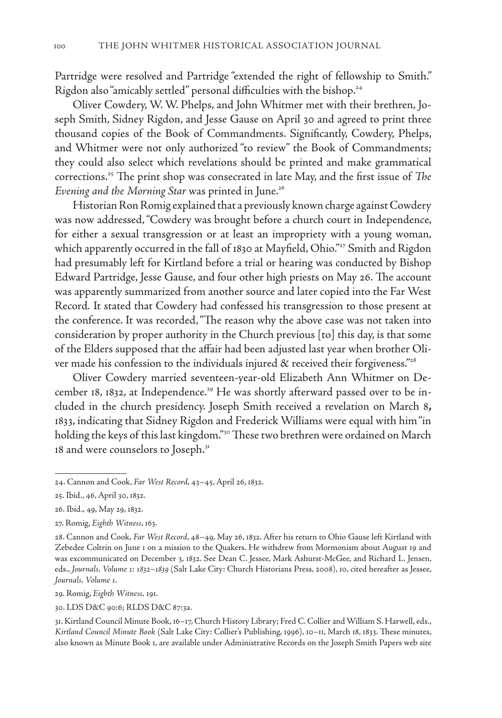Partridge were resolved and Partridge "extended the right of fellowship to Smith." Rigdon also "amicably settled" personal difficulties with the bishop.<sup>24</sup>

Oliver Cowdery, W. W. Phelps, and John Whitmer met with their brethren, Joseph Smith, Sidney Rigdon, and Jesse Gause on April 30 and agreed to print three thousand copies of the Book of Commandments. Significantly, Cowdery, Phelps, and Whitmer were not only authorized "to review" the Book of Commandments; they could also select which revelations should be printed and make grammatical corrections.25 The print shop was consecrated in late May, and the first issue of *The*  Evening and the Morning Star was printed in June.<sup>26</sup>

Historian Ron Romig explained that a previously known charge against Cowdery was now addressed, "Cowdery was brought before a church court in Independence, for either a sexual transgression or at least an impropriety with a young woman, which apparently occurred in the fall of 1830 at Mayfield, Ohio."<sup>27</sup> Smith and Rigdon had presumably left for Kirtland before a trial or hearing was conducted by Bishop Edward Partridge, Jesse Gause, and four other high priests on May 26. The account was apparently summarized from another source and later copied into the Far West Record*.* It stated that Cowdery had confessed his transgression to those present at the conference. It was recorded, "The reason why the above case was not taken into consideration by proper authority in the Church previous [to] this day, is that some of the Elders supposed that the affair had been adjusted last year when brother Oliver made his confession to the individuals injured  $\alpha$  received their forgiveness."<sup>28</sup>

Oliver Cowdery married seventeen-year-old Elizabeth Ann Whitmer on December 18, 1832, at Independence.<sup>29</sup> He was shortly afterward passed over to be included in the church presidency. Joseph Smith received a revelation on March 8**,**  1833, indicating that Sidney Rigdon and Frederick Williams were equal with him "in holding the keys of this last kingdom."<sup>30</sup> These two brethren were ordained on March 18 and were counselors to Joseph.<sup>31</sup>

29. Romig, *Eighth Witness,* 191.

30. LDS D&C 90:6; RLDS D&C 87:3a.

<sup>24.</sup> Cannon and Cook, *Far West Record*, 43–45, April 26, 1832.

<sup>25.</sup> Ibid., 46, April 30, 1832.

<sup>26.</sup> Ibid., 49, May 29, 1832.

<sup>27.</sup> Romig, *Eighth Witness*, 163.

<sup>28.</sup> Cannon and Cook, *Far West Record*, 48–49, May 26, 1832. After his return to Ohio Gause left Kirtland with Zebedee Coltrin on June 1 on a mission to the Quakers. He withdrew from Mormonism about August 19 and was excommunicated on December 3, 1832. See Dean C. Jessee, Mark Ashurst-McGee, and Richard L. Jensen, eds., *Journals, Volume 1: 1832–1839* (Salt Lake City: Church Historians Press, 2008), 10, cited hereafter as Jessee, *Journals, Volume 1*.

<sup>31.</sup> Kirtland Council Minute Book, 16–17, Church History Library; Fred C. Collier and William S. Harwell, eds., *Kirtland Council Minute Book* (Salt Lake City: Collier's Publishing, 1996), 10–11, March 18, 1833. These minutes, also known as Minute Book 1, are available under Administrative Records on the Joseph Smith Papers web site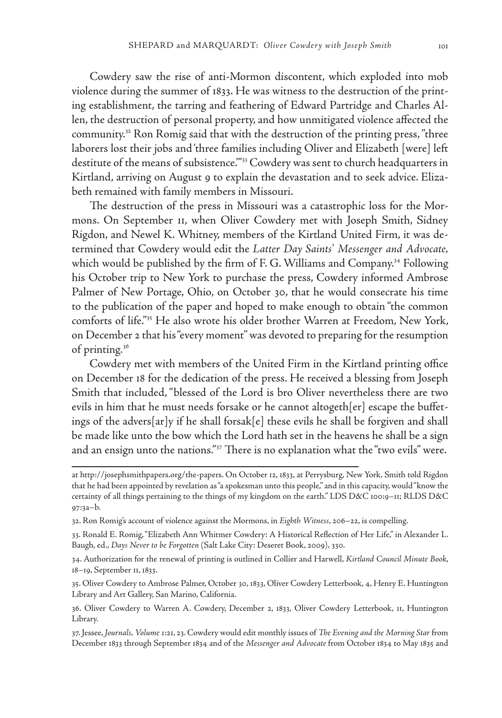Cowdery saw the rise of anti-Mormon discontent, which exploded into mob violence during the summer of 1833. He was witness to the destruction of the printing establishment, the tarring and feathering of Edward Partridge and Charles Allen, the destruction of personal property, and how unmitigated violence affected the community.<sup>32</sup> Ron Romig said that with the destruction of the printing press, "three laborers lost their jobs and 'three families including Oliver and Elizabeth [were] left destitute of the means of subsistence.'"33 Cowdery was sent to church headquarters in Kirtland, arriving on August 9 to explain the devastation and to seek advice. Elizabeth remained with family members in Missouri.

The destruction of the press in Missouri was a catastrophic loss for the Mormons. On September 11, when Oliver Cowdery met with Joseph Smith, Sidney Rigdon, and Newel K. Whitney, members of the Kirtland United Firm, it was determined that Cowdery would edit the *Latter Day Saints' Messenger and Advocate,* which would be published by the firm of F. G. Williams and Company.<sup>34</sup> Following his October trip to New York to purchase the press, Cowdery informed Ambrose Palmer of New Portage, Ohio, on October 30, that he would consecrate his time to the publication of the paper and hoped to make enough to obtain "the common comforts of life."35 He also wrote his older brother Warren at Freedom, New York, on December 2 that his "every moment" was devoted to preparing for the resumption of printing*.* 36

Cowdery met with members of the United Firm in the Kirtland printing office on December 18 for the dedication of the press. He received a blessing from Joseph Smith that included, "blessed of the Lord is bro Oliver nevertheless there are two evils in him that he must needs forsake or he cannot altogeth[er] escape the buffetings of the advers[ar]y if he shall forsak[e] these evils he shall be forgiven and shall be made like unto the bow which the Lord hath set in the heavens he shall be a sign and an ensign unto the nations."37 There is no explanation what the "two evils" were.

at http://josephsmithpapers.org/the-papers. On October 12, 1833, at Perrysburg, New York, Smith told Rigdon that he had been appointed by revelation as "a spokesman unto this people," and in this capacity, would "know the certainty of all things pertaining to the things of my kingdom on the earth." LDS D&C 100:9–11; RLDS D&C 97:3a–b.

<sup>32.</sup> Ron Romig's account of violence against the Mormons, in *Eighth Witness*, 206–22, is compelling.

<sup>33.</sup> Ronald E. Romig, "Elizabeth Ann Whitmer Cowdery: A Historical Reflection of Her Life," in Alexander L. Baugh, ed., *Days Never to be Forgotten* (Salt Lake City: Deseret Book, 2009), 330.

<sup>34.</sup> Authorization for the renewal of printing is outlined in Collier and Harwell, *Kirtland Council Minute Book*, 18–19, September 11, 1833.

<sup>35.</sup> Oliver Cowdery to Ambrose Palmer, October 30, 1833, Oliver Cowdery Letterbook, 4, Henry E. Huntington Library and Art Gallery, San Marino, California.

<sup>36.</sup> Oliver Cowdery to Warren A. Cowdery, December 2, 1833, Oliver Cowdery Letterbook, 11, Huntington Library.

<sup>37.</sup> Jessee, *Journals, Volume 1*:21, 23. Cowdery would edit monthly issues of *The Evening and the Morning Star* from December 1833 through September 1834 and of the *Messenger and Advocate* from October 1834 to May 1835 and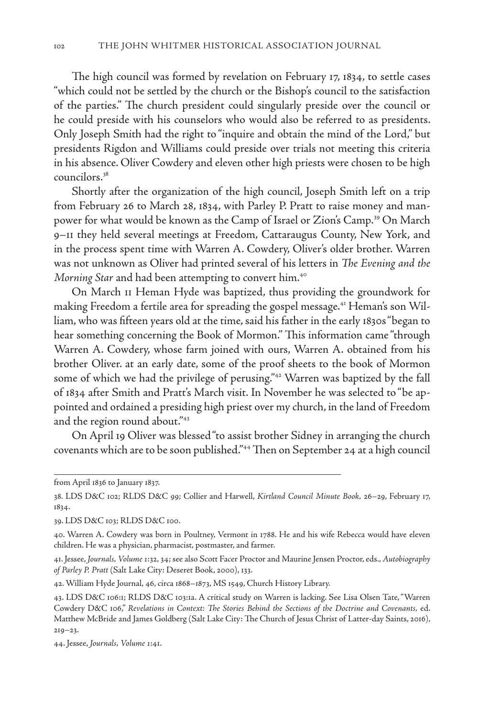The high council was formed by revelation on February 17, 1834, to settle cases "which could not be settled by the church or the Bishop's council to the satisfaction of the parties." The church president could singularly preside over the council or he could preside with his counselors who would also be referred to as presidents. Only Joseph Smith had the right to "inquire and obtain the mind of the Lord," but presidents Rigdon and Williams could preside over trials not meeting this criteria in his absence. Oliver Cowdery and eleven other high priests were chosen to be high councilors.38

Shortly after the organization of the high council, Joseph Smith left on a trip from February 26 to March 28, 1834, with Parley P. Pratt to raise money and manpower for what would be known as the Camp of Israel or Zion's Camp.<sup>39</sup> On March 9–11 they held several meetings at Freedom, Cattaraugus County, New York, and in the process spent time with Warren A. Cowdery, Oliver's older brother. Warren was not unknown as Oliver had printed several of his letters in *The Evening and the Morning Star and had been attempting to convert him.<sup>40</sup>* 

On March 11 Heman Hyde was baptized, thus providing the groundwork for making Freedom a fertile area for spreading the gospel message.41 Heman's son William, who was fifteen years old at the time, said his father in the early 1830s "began to hear something concerning the Book of Mormon." This information came "through Warren A. Cowdery, whose farm joined with ours, Warren A. obtained from his brother Oliver. at an early date, some of the proof sheets to the book of Mormon some of which we had the privilege of perusing."42 Warren was baptized by the fall of 1834 after Smith and Pratt's March visit. In November he was selected to "be appointed and ordained a presiding high priest over my church, in the land of Freedom and the region round about."43

On April 19 Oliver was blessed "to assist brother Sidney in arranging the church covenants which are to be soon published."44 Then on September 24 at a high council

from April 1836 to January 1837.

<sup>38.</sup> LDS D&C 102; RLDS D&C 99; Collier and Harwell, *Kirtland Council Minute Book,* 26–29, February 17, 1834.

<sup>39.</sup> LDS D&C 103; RLDS D&C 100.

<sup>40.</sup> Warren A. Cowdery was born in Poultney, Vermont in 1788. He and his wife Rebecca would have eleven children. He was a physician, pharmacist, postmaster, and farmer.

<sup>41.</sup> Jessee, *Journals, Volume 1*:32, 34; see also Scott Facer Proctor and Maurine Jensen Proctor, eds., *Autobiography of Parley P. Pratt* (Salt Lake City: Deseret Book, 2000), 133.

<sup>42.</sup> William Hyde Journal, 46, circa 1868–1873, MS 1549, Church History Library.

<sup>43.</sup> LDS D&C 106:1; RLDS D&C 103:1a. A critical study on Warren is lacking. See Lisa Olsen Tate, "Warren Cowdery D&C 106," *Revelations in Context: The Stories Behind the Sections of the Doctrine and Covenants,* ed. Matthew McBride and James Goldberg (Salt Lake City: The Church of Jesus Christ of Latter-day Saints, 2016), 219–23.

<sup>44.</sup> Jessee, *Journals, Volume 1*:41.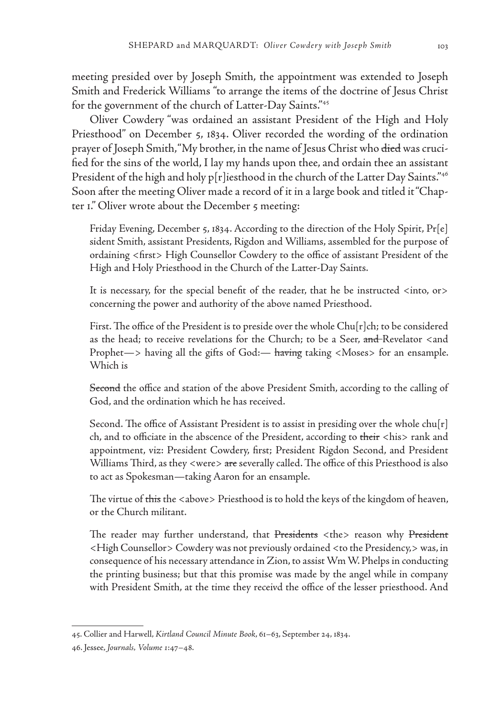meeting presided over by Joseph Smith, the appointment was extended to Joseph Smith and Frederick Williams "to arrange the items of the doctrine of Jesus Christ for the government of the church of Latter-Day Saints."45

Oliver Cowdery "was ordained an assistant President of the High and Holy Priesthood" on December 5, 1834. Oliver recorded the wording of the ordination prayer of Joseph Smith, "My brother, in the name of Jesus Christ who died was crucified for the sins of the world, I lay my hands upon thee, and ordain thee an assistant President of the high and holy p[r]iesthood in the church of the Latter Day Saints."46 Soon after the meeting Oliver made a record of it in a large book and titled it "Chapter 1." Oliver wrote about the December 5 meeting:

Friday Evening, December 5, 1834. According to the direction of the Holy Spirit, Pr[e] sident Smith, assistant Presidents, Rigdon and Williams, assembled for the purpose of ordaining <first> High Counsellor Cowdery to the office of assistant President of the High and Holy Priesthood in the Church of the Latter-Day Saints.

It is necessary, for the special benefit of the reader, that he be instructed <into, or> concerning the power and authority of the above named Priesthood.

First. The office of the President is to preside over the whole  $Chu[r]ch;$  to be considered as the head; to receive revelations for the Church; to be a Seer,  $\overline{and}$  Revelator  $\langle$  and Prophet—> having all the gifts of God:— having taking <Moses> for an ensample. Which is

Second the office and station of the above President Smith, according to the calling of God, and the ordination which he has received.

Second. The office of Assistant President is to assist in presiding over the whole  $\text{chu}[r]$ ch, and to officiate in the abscence of the President, according to their <his> rank and appointment, viz: President Cowdery, first; President Rigdon Second, and President Williams Third, as they <were> are severally called. The office of this Priesthood is also to act as Spokesman—taking Aaron for an ensample.

The virtue of this the <above> Priesthood is to hold the keys of the kingdom of heaven, or the Church militant.

The reader may further understand, that Presidents <the> reason why President <High Counsellor> Cowdery was not previously ordained <to the Presidency,> was, in consequence of his necessary attendance in Zion, to assist Wm W. Phelps in conducting the printing business; but that this promise was made by the angel while in company with President Smith, at the time they receivd the office of the lesser priesthood. And

<sup>45.</sup> Collier and Harwell, *Kirtland Council Minute Book*, 61–63, September 24, 1834.

<sup>46.</sup> Jessee, *Journals, Volume 1*:47–48.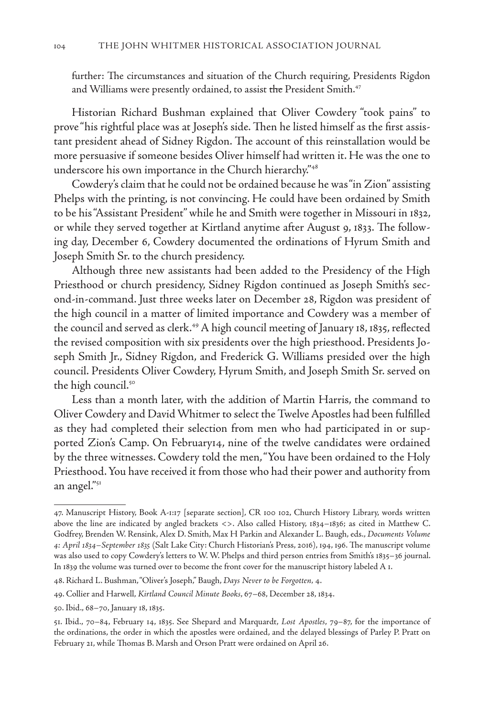further: The circumstances and situation of the Church requiring, Presidents Rigdon and Williams were presently ordained, to assist the President Smith.<sup>47</sup>

Historian Richard Bushman explained that Oliver Cowdery "took pains" to prove "his rightful place was at Joseph's side. Then he listed himself as the first assistant president ahead of Sidney Rigdon. The account of this reinstallation would be more persuasive if someone besides Oliver himself had written it. He was the one to underscore his own importance in the Church hierarchy."<sup>48</sup>

Cowdery's claim that he could not be ordained because he was "in Zion" assisting Phelps with the printing, is not convincing. He could have been ordained by Smith to be his "Assistant President" while he and Smith were together in Missouri in 1832, or while they served together at Kirtland anytime after August 9, 1833. The following day, December 6, Cowdery documented the ordinations of Hyrum Smith and Joseph Smith Sr. to the church presidency.

Although three new assistants had been added to the Presidency of the High Priesthood or church presidency, Sidney Rigdon continued as Joseph Smith's second-in-command. Just three weeks later on December 28, Rigdon was president of the high council in a matter of limited importance and Cowdery was a member of the council and served as clerk.<sup>49</sup> A high council meeting of January 18, 1835, reflected the revised composition with six presidents over the high priesthood. Presidents Joseph Smith Jr., Sidney Rigdon, and Frederick G. Williams presided over the high council. Presidents Oliver Cowdery, Hyrum Smith, and Joseph Smith Sr. served on the high council.<sup>50</sup>

Less than a month later, with the addition of Martin Harris, the command to Oliver Cowdery and David Whitmer to select the Twelve Apostles had been fulfilled as they had completed their selection from men who had participated in or supported Zion's Camp. On February14, nine of the twelve candidates were ordained by the three witnesses. Cowdery told the men, "You have been ordained to the Holy Priesthood. You have received it from those who had their power and authority from an angel."51

<sup>47.</sup> Manuscript History, Book A-1:17 [separate section], CR 100 102, Church History Library, words written above the line are indicated by angled brackets <>. Also called History, 1834–1836; as cited in Matthew C. Godfrey, Brenden W. Rensink, Alex D. Smith, Max H Parkin and Alexander L. Baugh, eds., *Documents Volume 4: April 1834–September 1835* (Salt Lake City: Church Historian's Press, 2016), 194, 196. The manuscript volume was also used to copy Cowdery's letters to W. W. Phelps and third person entries from Smith's 1835–36 journal. In 1839 the volume was turned over to become the front cover for the manuscript history labeled A 1.

<sup>48.</sup> Richard L. Bushman, "Oliver's Joseph," Baugh, *Days Never to be Forgotten,* 4.

<sup>49.</sup> Collier and Harwell, *Kirtland Council Minute Books*, 67–68, December 28, 1834.

<sup>50.</sup> Ibid., 68–70, January 18, 1835.

<sup>51.</sup> Ibid., 70–84, February 14, 1835. See Shepard and Marquardt, *Lost Apostles*, 79–87, for the importance of the ordinations, the order in which the apostles were ordained, and the delayed blessings of Parley P. Pratt on February 21, while Thomas B. Marsh and Orson Pratt were ordained on April 26.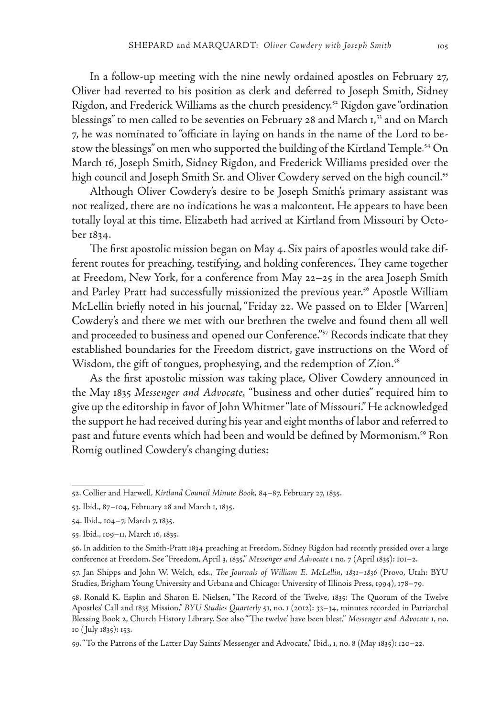In a follow-up meeting with the nine newly ordained apostles on February 27, Oliver had reverted to his position as clerk and deferred to Joseph Smith, Sidney Rigdon, and Frederick Williams as the church presidency.<sup>52</sup> Rigdon gave "ordination blessings" to men called to be seventies on February 28 and March 1,<sup>53</sup> and on March 7, he was nominated to "officiate in laying on hands in the name of the Lord to bestow the blessings" on men who supported the building of the Kirtland Temple.<sup>54</sup> On March 16, Joseph Smith, Sidney Rigdon, and Frederick Williams presided over the high council and Joseph Smith Sr. and Oliver Cowdery served on the high council.<sup>55</sup>

Although Oliver Cowdery's desire to be Joseph Smith's primary assistant was not realized, there are no indications he was a malcontent. He appears to have been totally loyal at this time. Elizabeth had arrived at Kirtland from Missouri by October 1834.

The first apostolic mission began on May 4. Six pairs of apostles would take different routes for preaching, testifying, and holding conferences. They came together at Freedom, New York, for a conference from May 22–25 in the area Joseph Smith and Parley Pratt had successfully missionized the previous year.<sup>56</sup> Apostle William McLellin briefly noted in his journal, "Friday 22. We passed on to Elder [Warren] Cowdery's and there we met with our brethren the twelve and found them all well and proceeded to business and opened our Conference."<sup>57</sup> Records indicate that they established boundaries for the Freedom district, gave instructions on the Word of Wisdom, the gift of tongues, prophesying, and the redemption of Zion.<sup>58</sup>

As the first apostolic mission was taking place, Oliver Cowdery announced in the May 1835 *Messenger and Advocate,* "business and other duties" required him to give up the editorship in favor of John Whitmer "late of Missouri." He acknowledged the support he had received during his year and eight months of labor and referred to past and future events which had been and would be defined by Mormonism.59 Ron Romig outlined Cowdery's changing duties:

<sup>52.</sup> Collier and Harwell, *Kirtland Council Minute Book,* 84–87, February 27, 1835.

<sup>53.</sup> Ibid., 87–104, February 28 and March 1, 1835.

<sup>54.</sup> Ibid., 104–7, March 7, 1835.

<sup>55.</sup> Ibid., 109–11, March 16, 1835.

<sup>56.</sup> In addition to the Smith-Pratt 1834 preaching at Freedom, Sidney Rigdon had recently presided over a large conference at Freedom. See "Freedom, April 3, 1835," *Messenger and Advocate* 1 no. 7 (April 1835): 101–2.

<sup>57.</sup> Jan Shipps and John W. Welch, eds., *The Journals of William E. McLellin, 1831–1836* (Provo, Utah: BYU Studies, Brigham Young University and Urbana and Chicago: University of Illinois Press, 1994), 178–79.

<sup>58.</sup> Ronald K. Esplin and Sharon E. Nielsen, "The Record of the Twelve, 1835: The Quorum of the Twelve Apostles' Call and 1835 Mission," *BYU Studies Quarterly* 51, no. 1 (2012): 33–34, minutes recorded in Patriarchal Blessing Book 2, Church History Library. See also "'The twelve' have been blest," *Messenger and Advocate* 1, no. 10 ( July 1835): 153.

<sup>59. &</sup>quot;To the Patrons of the Latter Day Saints' Messenger and Advocate," Ibid., 1, no. 8 (May 1835): 120–22.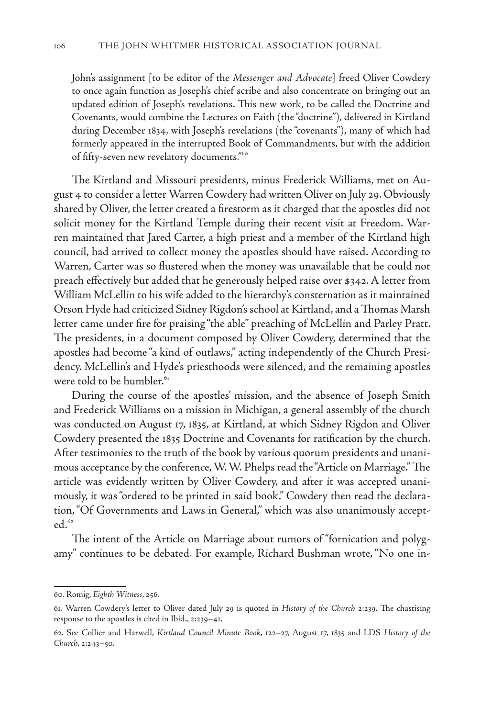John's assignment [to be editor of the *Messenger and Advocate*] freed Oliver Cowdery to once again function as Joseph's chief scribe and also concentrate on bringing out an updated edition of Joseph's revelations. This new work, to be called the Doctrine and Covenants, would combine the Lectures on Faith (the "doctrine"), delivered in Kirtland during December 1834, with Joseph's revelations (the "covenants"), many of which had formerly appeared in the interrupted Book of Commandments, but with the addition of fifty-seven new revelatory documents."60

The Kirtland and Missouri presidents, minus Frederick Williams, met on August 4 to consider a letter Warren Cowdery had written Oliver on July 29. Obviously shared by Oliver, the letter created a firestorm as it charged that the apostles did not solicit money for the Kirtland Temple during their recent visit at Freedom. Warren maintained that Jared Carter, a high priest and a member of the Kirtland high council, had arrived to collect money the apostles should have raised. According to Warren, Carter was so flustered when the money was unavailable that he could not preach effectively but added that he generously helped raise over \$342. A letter from William McLellin to his wife added to the hierarchy's consternation as it maintained Orson Hyde had criticized Sidney Rigdon's school at Kirtland, and a Thomas Marsh letter came under fire for praising "the able" preaching of McLellin and Parley Pratt. The presidents, in a document composed by Oliver Cowdery, determined that the apostles had become "a kind of outlaws," acting independently of the Church Presidency. McLellin's and Hyde's priesthoods were silenced, and the remaining apostles were told to be humbler.<sup>61</sup>

During the course of the apostles' mission, and the absence of Joseph Smith and Frederick Williams on a mission in Michigan, a general assembly of the church was conducted on August 17, 1835, at Kirtland, at which Sidney Rigdon and Oliver Cowdery presented the 1835 Doctrine and Covenants for ratification by the church. After testimonies to the truth of the book by various quorum presidents and unanimous acceptance by the conference, W. W. Phelps read the "Article on Marriage." The article was evidently written by Oliver Cowdery, and after it was accepted unanimously, it was "ordered to be printed in said book." Cowdery then read the declaration, "Of Governments and Laws in General," which was also unanimously accept $ed.^{62}$ 

The intent of the Article on Marriage about rumors of "fornication and polygamy" continues to be debated. For example, Richard Bushman wrote, "No one in-

<sup>60.</sup> Romig, *Eighth Witness*, 256.

<sup>61.</sup> Warren Cowdery's letter to Oliver dated July 29 is quoted in *History of the Church* 2:239. The chastising response to the apostles is cited in Ibid., 2:239–41.

<sup>62.</sup> See Collier and Harwell, *Kirtland Council Minute Book*, 122–27, August 17, 1835 and LDS *History of the Church*, 2:243–50.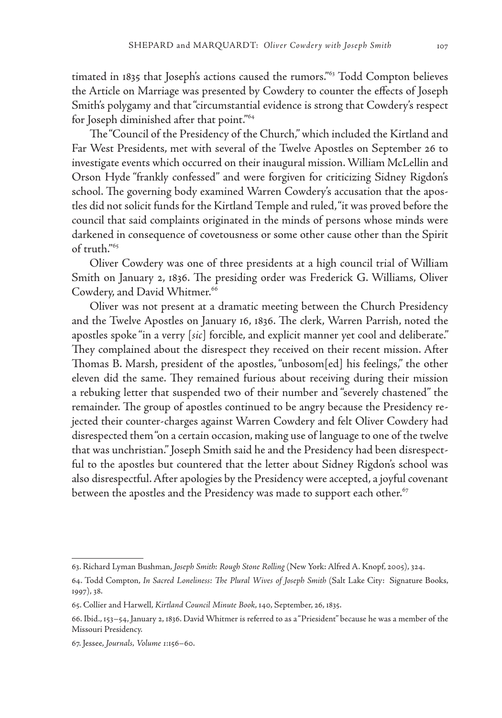timated in 1835 that Joseph's actions caused the rumors."63 Todd Compton believes the Article on Marriage was presented by Cowdery to counter the effects of Joseph Smith's polygamy and that "circumstantial evidence is strong that Cowdery's respect for Joseph diminished after that point."64

The "Council of the Presidency of the Church," which included the Kirtland and Far West Presidents, met with several of the Twelve Apostles on September 26 to investigate events which occurred on their inaugural mission. William McLellin and Orson Hyde "frankly confessed" and were forgiven for criticizing Sidney Rigdon's school. The governing body examined Warren Cowdery's accusation that the apostles did not solicit funds for the Kirtland Temple and ruled, "it was proved before the council that said complaints originated in the minds of persons whose minds were darkened in consequence of covetousness or some other cause other than the Spirit of truth."65

Oliver Cowdery was one of three presidents at a high council trial of William Smith on January 2, 1836. The presiding order was Frederick G. Williams, Oliver Cowdery, and David Whitmer.<sup>66</sup>

Oliver was not present at a dramatic meeting between the Church Presidency and the Twelve Apostles on January 16, 1836. The clerk, Warren Parrish, noted the apostles spoke "in a verry [*sic*] forcible, and explicit manner yet cool and deliberate." They complained about the disrespect they received on their recent mission. After Thomas B. Marsh, president of the apostles, "unbosom[ed] his feelings," the other eleven did the same. They remained furious about receiving during their mission a rebuking letter that suspended two of their number and "severely chastened" the remainder. The group of apostles continued to be angry because the Presidency rejected their counter-charges against Warren Cowdery and felt Oliver Cowdery had disrespected them "on a certain occasion, making use of language to one of the twelve that was unchristian." Joseph Smith said he and the Presidency had been disrespectful to the apostles but countered that the letter about Sidney Rigdon's school was also disrespectful. After apologies by the Presidency were accepted, a joyful covenant between the apostles and the Presidency was made to support each other. $67$ 

<sup>63.</sup> Richard Lyman Bushman, *Joseph Smith: Rough Stone Rolling* (New York: Alfred A. Knopf, 2005), 324.

<sup>64.</sup> Todd Compton, *In Sacred Loneliness: The Plural Wives of Joseph Smith* (Salt Lake City: Signature Books, 1997), 38.

<sup>65.</sup> Collier and Harwell, *Kirtland Council Minute Book*, 140, September, 26, 1835.

<sup>66.</sup> Ibid., 153–54, January 2, 1836. David Whitmer is referred to as a "Priesident" because he was a member of the Missouri Presidency.

<sup>67.</sup> Jessee, *Journals, Volume 1*:156–60.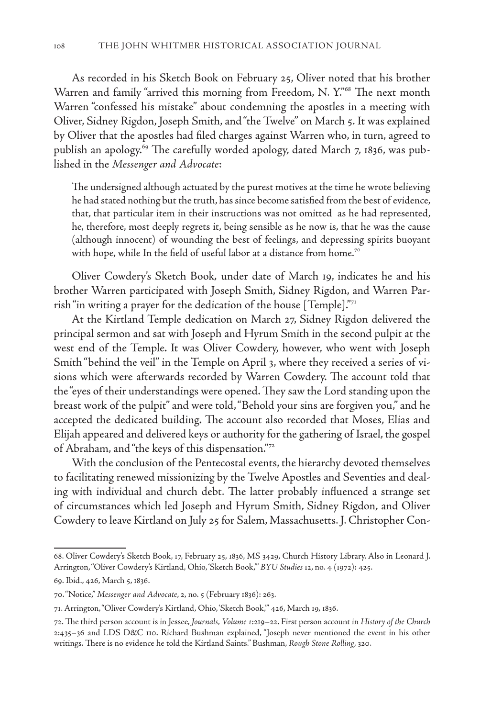As recorded in his Sketch Book on February 25, Oliver noted that his brother Warren and family "arrived this morning from Freedom, N. Y."<sup>68</sup> The next month Warren "confessed his mistake" about condemning the apostles in a meeting with Oliver, Sidney Rigdon, Joseph Smith, and "the Twelve" on March 5. It was explained by Oliver that the apostles had filed charges against Warren who, in turn, agreed to publish an apology.<sup>69</sup> The carefully worded apology, dated March 7, 1836, was published in the *Messenger and Advocate*:

The undersigned although actuated by the purest motives at the time he wrote believing he had stated nothing but the truth, has since become satisfied from the best of evidence, that, that particular item in their instructions was not omitted as he had represented, he, therefore, most deeply regrets it, being sensible as he now is, that he was the cause (although innocent) of wounding the best of feelings, and depressing spirits buoyant with hope, while In the field of useful labor at a distance from home.<sup>70</sup>

Oliver Cowdery's Sketch Book*,* under date of March 19, indicates he and his brother Warren participated with Joseph Smith, Sidney Rigdon, and Warren Parrish "in writing a prayer for the dedication of the house [Temple]."71

At the Kirtland Temple dedication on March 27, Sidney Rigdon delivered the principal sermon and sat with Joseph and Hyrum Smith in the second pulpit at the west end of the Temple. It was Oliver Cowdery, however, who went with Joseph Smith "behind the veil" in the Temple on April 3, where they received a series of visions which were afterwards recorded by Warren Cowdery. The account told that the "eyes of their understandings were opened. They saw the Lord standing upon the breast work of the pulpit" and were told, "Behold your sins are forgiven you," and he accepted the dedicated building. The account also recorded that Moses, Elias and Elijah appeared and delivered keys or authority for the gathering of Israel, the gospel of Abraham, and "the keys of this dispensation."72

With the conclusion of the Pentecostal events, the hierarchy devoted themselves to facilitating renewed missionizing by the Twelve Apostles and Seventies and dealing with individual and church debt. The latter probably influenced a strange set of circumstances which led Joseph and Hyrum Smith, Sidney Rigdon, and Oliver Cowdery to leave Kirtland on July 25 for Salem, Massachusetts. J. Christopher Con-

<sup>68.</sup> Oliver Cowdery's Sketch Book, 17, February 25, 1836, MS 3429, Church History Library. Also in Leonard J. Arrington, "Oliver Cowdery's Kirtland, Ohio, 'Sketch Book,'" *BYU Studies* 12, no. 4 (1972): 425.

<sup>69.</sup> Ibid., 426, March 5, 1836.

<sup>70. &</sup>quot;Notice," *Messenger and Advocate*, 2, no. 5 (February 1836): 263.

<sup>71.</sup> Arrington, "Oliver Cowdery's Kirtland, Ohio, 'Sketch Book,'" 426, March 19, 1836.

<sup>72.</sup> The third person account is in Jessee, *Journals, Volume 1*:219–22. First person account in *History of the Church* 2:435–36 and LDS D&C 110. Richard Bushman explained, "Joseph never mentioned the event in his other writings. There is no evidence he told the Kirtland Saints." Bushman, *Rough Stone Rolling*, 320.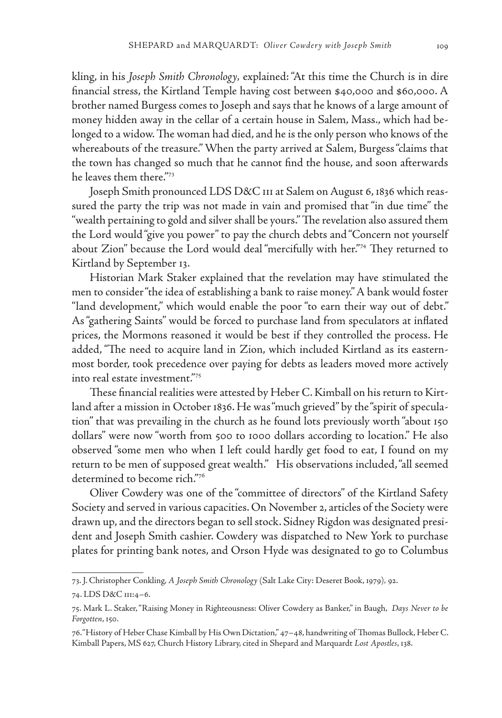kling, in his *Joseph Smith Chronology,* explained: "At this time the Church is in dire financial stress, the Kirtland Temple having cost between \$40,000 and \$60,000. A brother named Burgess comes to Joseph and says that he knows of a large amount of money hidden away in the cellar of a certain house in Salem, Mass., which had belonged to a widow. The woman had died, and he is the only person who knows of the whereabouts of the treasure." When the party arrived at Salem, Burgess "claims that the town has changed so much that he cannot find the house, and soon afterwards he leaves them there."73

Joseph Smith pronounced LDS D&C 111 at Salem on August 6, 1836 which reassured the party the trip was not made in vain and promised that "in due time" the "wealth pertaining to gold and silver shall be yours." The revelation also assured them the Lord would "give you power" to pay the church debts and "Concern not yourself about Zion" because the Lord would deal "mercifully with her."74 They returned to Kirtland by September 13.

Historian Mark Staker explained that the revelation may have stimulated the men to consider "the idea of establishing a bank to raise money." A bank would foster "land development," which would enable the poor "to earn their way out of debt." As "gathering Saints" would be forced to purchase land from speculators at inflated prices, the Mormons reasoned it would be best if they controlled the process. He added, "The need to acquire land in Zion, which included Kirtland as its easternmost border, took precedence over paying for debts as leaders moved more actively into real estate investment."75

These financial realities were attested by Heber C. Kimball on his return to Kirtland after a mission in October 1836. He was "much grieved" by the "spirit of speculation" that was prevailing in the church as he found lots previously worth "about 150 dollars" were now "worth from 500 to 1000 dollars according to location." He also observed "some men who when I left could hardly get food to eat, I found on my return to be men of supposed great wealth." His observations included, "all seemed determined to become rich."76

Oliver Cowdery was one of the "committee of directors" of the Kirtland Safety Society and served in various capacities. On November 2, articles of the Society were drawn up, and the directors began to sell stock. Sidney Rigdon was designated president and Joseph Smith cashier. Cowdery was dispatched to New York to purchase plates for printing bank notes, and Orson Hyde was designated to go to Columbus

<sup>73.</sup> J. Christopher Conkling, *A Joseph Smith Chronology* (Salt Lake City: Deseret Book, 1979)*,* 92. 74. LDS D&C 111:4–6.

<sup>75.</sup> Mark L. Staker, "Raising Money in Righteousness: Oliver Cowdery as Banker," in Baugh, *Days Never to be Forgotten*, 150.

<sup>76. &</sup>quot;History of Heber Chase Kimball by His Own Dictation," 47–48, handwriting of Thomas Bullock, Heber C. Kimball Papers, MS 627, Church History Library, cited in Shepard and Marquardt *Lost Apostles*, 138.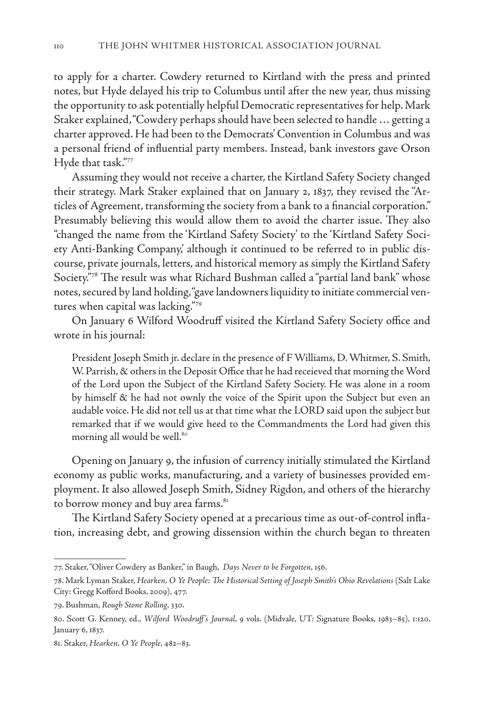to apply for a charter. Cowdery returned to Kirtland with the press and printed notes, but Hyde delayed his trip to Columbus until after the new year, thus missing the opportunity to ask potentially helpful Democratic representatives for help. Mark Staker explained, "Cowdery perhaps should have been selected to handle … getting a charter approved. He had been to the Democrats' Convention in Columbus and was a personal friend of influential party members. Instead, bank investors gave Orson Hyde that task."77

Assuming they would not receive a charter, the Kirtland Safety Society changed their strategy. Mark Staker explained that on January 2, 1837, they revised the "Articles of Agreement, transforming the society from a bank to a financial corporation." Presumably believing this would allow them to avoid the charter issue. They also "changed the name from the 'Kirtland Safety Society' to the 'Kirtland Safety Society Anti-Banking Company,' although it continued to be referred to in public discourse, private journals, letters, and historical memory as simply the Kirtland Safety Society."78 The result was what Richard Bushman called a "partial land bank" whose notes, secured by land holding, "gave landowners liquidity to initiate commercial ventures when capital was lacking."79

On January 6 Wilford Woodruff visited the Kirtland Safety Society office and wrote in his journal:

President Joseph Smith jr. declare in the presence of F Williams, D. Whitmer, S. Smith, W. Parrish, & others in the Deposit Office that he had receieved that morning the Word of the Lord upon the Subject of the Kirtland Safety Society. He was alone in a room by himself & he had not ownly the voice of the Spirit upon the Subject but even an audable voice. He did not tell us at that time what the LORD said upon the subject but remarked that if we would give heed to the Commandments the Lord had given this morning all would be well.<sup>80</sup>

Opening on January 9, the infusion of currency initially stimulated the Kirtland economy as public works, manufacturing, and a variety of businesses provided employment. It also allowed Joseph Smith, Sidney Rigdon, and others of the hierarchy to borrow money and buy area farms.<sup>81</sup>

The Kirtland Safety Society opened at a precarious time as out-of-control inflation, increasing debt, and growing dissension within the church began to threaten

<sup>77.</sup> Staker, "Oliver Cowdery as Banker," in Baugh, *Days Never to be Forgotten*, 156.

<sup>78.</sup> Mark Lyman Staker, *Hearken, O Ye People: The Historical Setting of Joseph Smith's Ohio Revelations* (Salt Lake City: Gregg Kofford Books, 2009), 477.

<sup>79.</sup> Bushman, *Rough Stone Rolling*, 330.

<sup>80.</sup> Scott G. Kenney, ed., *Wilford Woodruff's Journal*, 9 vols. (Midvale, UT: Signature Books, 1983–85), 1:120, January 6, 1837.

<sup>81.</sup> Staker, *Hearken, O Ye People*, 482–83.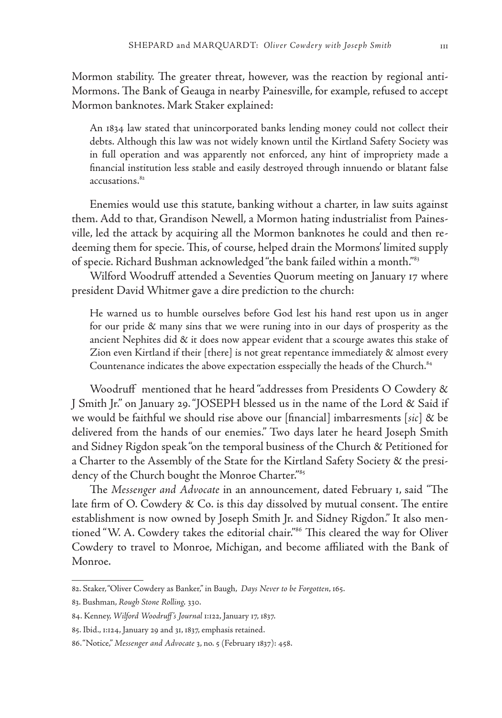Mormon stability. The greater threat, however, was the reaction by regional anti-Mormons. The Bank of Geauga in nearby Painesville, for example, refused to accept Mormon banknotes. Mark Staker explained:

An 1834 law stated that unincorporated banks lending money could not collect their debts. Although this law was not widely known until the Kirtland Safety Society was in full operation and was apparently not enforced, any hint of impropriety made a financial institution less stable and easily destroyed through innuendo or blatant false accusations.<sup>82</sup>

Enemies would use this statute, banking without a charter, in law suits against them. Add to that, Grandison Newell, a Mormon hating industrialist from Painesville, led the attack by acquiring all the Mormon banknotes he could and then redeeming them for specie. This, of course, helped drain the Mormons' limited supply of specie. Richard Bushman acknowledged "the bank failed within a month."83

Wilford Woodruff attended a Seventies Quorum meeting on January 17 where president David Whitmer gave a dire prediction to the church:

He warned us to humble ourselves before God lest his hand rest upon us in anger for our pride & many sins that we were runing into in our days of prosperity as the ancient Nephites did  $\&$  it does now appear evident that a scourge awates this stake of Zion even Kirtland if their [there] is not great repentance immediately & almost every Countenance indicates the above expectation esspecially the heads of the Church.<sup>84</sup>

Woodruff mentioned that he heard "addresses from Presidents O Cowdery & J Smith Jr." on January 29. "JOSEPH blessed us in the name of the Lord & Said if we would be faithful we should rise above our [financial] imbarresments [*sic*] & be delivered from the hands of our enemies." Two days later he heard Joseph Smith and Sidney Rigdon speak "on the temporal business of the Church & Petitioned for a Charter to the Assembly of the State for the Kirtland Safety Society & the presidency of the Church bought the Monroe Charter."85

The *Messenger and Advocate* in an announcement, dated February 1, said *"*The late firm of O. Cowdery & Co. is this day dissolved by mutual consent. The entire establishment is now owned by Joseph Smith Jr. and Sidney Rigdon." It also mentioned "W. A. Cowdery takes the editorial chair."<sup>86</sup> This cleared the way for Oliver Cowdery to travel to Monroe, Michigan, and become affiliated with the Bank of Monroe.

<sup>82.</sup> Staker, "Oliver Cowdery as Banker," in Baugh, *Days Never to be Forgotten*, 165.

<sup>83.</sup> Bushman, *Rough Stone Rolling,* 330.

<sup>84.</sup> Kenney, *Wilford Woodruff's Journal* 1:122, January 17, 1837.

<sup>85.</sup> Ibid., 1:124, January 29 and 31, 1837, emphasis retained.

<sup>86. &</sup>quot;Notice," *Messenger and Advocate* 3, no. 5 (February 1837): 458.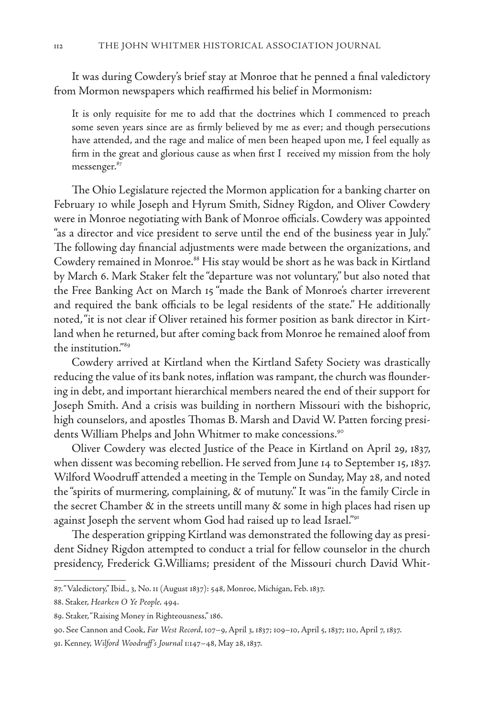It was during Cowdery's brief stay at Monroe that he penned a final valedictory from Mormon newspapers which reaffirmed his belief in Mormonism:

It is only requisite for me to add that the doctrines which I commenced to preach some seven years since are as firmly believed by me as ever; and though persecutions have attended, and the rage and malice of men been heaped upon me, I feel equally as firm in the great and glorious cause as when first I received my mission from the holy messenger.<sup>87</sup>

The Ohio Legislature rejected the Mormon application for a banking charter on February 10 while Joseph and Hyrum Smith, Sidney Rigdon, and Oliver Cowdery were in Monroe negotiating with Bank of Monroe officials. Cowdery was appointed "as a director and vice president to serve until the end of the business year in July." The following day financial adjustments were made between the organizations, and Cowdery remained in Monroe.<sup>88</sup> His stay would be short as he was back in Kirtland by March 6. Mark Staker felt the "departure was not voluntary," but also noted that the Free Banking Act on March 15 "made the Bank of Monroe's charter irreverent and required the bank officials to be legal residents of the state." He additionally noted, "it is not clear if Oliver retained his former position as bank director in Kirtland when he returned, but after coming back from Monroe he remained aloof from the institution."89

Cowdery arrived at Kirtland when the Kirtland Safety Society was drastically reducing the value of its bank notes, inflation was rampant, the church was floundering in debt, and important hierarchical members neared the end of their support for Joseph Smith. And a crisis was building in northern Missouri with the bishopric, high counselors, and apostles Thomas B. Marsh and David W. Patten forcing presidents William Phelps and John Whitmer to make concessions.<sup>90</sup>

Oliver Cowdery was elected Justice of the Peace in Kirtland on April 29, 1837, when dissent was becoming rebellion. He served from June 14 to September 15, 1837. Wilford Woodruff attended a meeting in the Temple on Sunday, May 28, and noted the "spirits of murmering, complaining, & of mutuny." It was "in the family Circle in the secret Chamber & in the streets untill many & some in high places had risen up against Joseph the servent whom God had raised up to lead Israel."<sup>91</sup>

The desperation gripping Kirtland was demonstrated the following day as president Sidney Rigdon attempted to conduct a trial for fellow counselor in the church presidency, Frederick G.Williams; president of the Missouri church David Whit-

<sup>87. &</sup>quot;Valedictory," Ibid., 3, No. 11 (August 1837): 548, Monroe, Michigan, Feb. 1837.

<sup>88.</sup> Staker, *Hearken O Ye People,* 494.

<sup>89.</sup> Staker, "Raising Money in Righteousness," 186.

<sup>90.</sup> See Cannon and Cook, *Far West Record*, 107–9, April 3, 1837; 109–10, April 5, 1837; 110, April 7, 1837.

<sup>91.</sup> Kenney, *Wilford Woodruff's Journal* 1:147–48, May 28, 1837.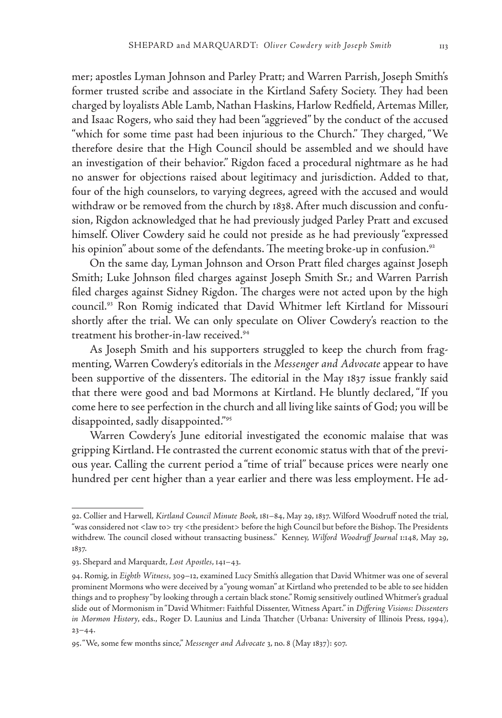mer; apostles Lyman Johnson and Parley Pratt; and Warren Parrish, Joseph Smith's former trusted scribe and associate in the Kirtland Safety Society. They had been charged by loyalists Able Lamb, Nathan Haskins, Harlow Redfield, Artemas Miller, and Isaac Rogers, who said they had been "aggrieved" by the conduct of the accused "which for some time past had been injurious to the Church." They charged, "We therefore desire that the High Council should be assembled and we should have an investigation of their behavior." Rigdon faced a procedural nightmare as he had no answer for objections raised about legitimacy and jurisdiction. Added to that, four of the high counselors, to varying degrees, agreed with the accused and would withdraw or be removed from the church by 1838. After much discussion and confusion, Rigdon acknowledged that he had previously judged Parley Pratt and excused himself. Oliver Cowdery said he could not preside as he had previously "expressed his opinion" about some of the defendants. The meeting broke-up in confusion.<sup>92</sup>

On the same day, Lyman Johnson and Orson Pratt filed charges against Joseph Smith; Luke Johnson filed charges against Joseph Smith Sr.; and Warren Parrish filed charges against Sidney Rigdon. The charges were not acted upon by the high council.93 Ron Romig indicated that David Whitmer left Kirtland for Missouri shortly after the trial. We can only speculate on Oliver Cowdery's reaction to the treatment his brother-in-law received.94

As Joseph Smith and his supporters struggled to keep the church from fragmenting, Warren Cowdery's editorials in the *Messenger and Advocate* appear to have been supportive of the dissenters. The editorial in the May 1837 issue frankly said that there were good and bad Mormons at Kirtland. He bluntly declared, "If you come here to see perfection in the church and all living like saints of God; you will be disappointed, sadly disappointed."95

Warren Cowdery's June editorial investigated the economic malaise that was gripping Kirtland. He contrasted the current economic status with that of the previous year. Calling the current period a "time of trial" because prices were nearly one hundred per cent higher than a year earlier and there was less employment. He ad-

<sup>92.</sup> Collier and Harwell, *Kirtland Council Minute Book*, 181–84, May 29, 1837. Wilford Woodruff noted the trial, "was considered not <law to> try <the president> before the high Council but before the Bishop. The Presidents withdrew. The council closed without transacting business." Kenney, *Wilford Woodruff Journal* 1:148, May 29, 1837.

<sup>93.</sup> Shepard and Marquardt, *Lost Apostles*, 141–43.

<sup>94.</sup> Romig, in *Eighth Witness*, 309–12, examined Lucy Smith's allegation that David Whitmer was one of several prominent Mormons who were deceived by a "young woman" at Kirtland who pretended to be able to see hidden things and to prophesy "by looking through a certain black stone." Romig sensitively outlined Whitmer's gradual slide out of Mormonism in "David Whitmer: Faithful Dissenter, Witness Apart." in *Differing Visions: Dissenters in Mormon History*, eds., Roger D. Launius and Linda Thatcher (Urbana: University of Illinois Press, 1994), 23–44.

<sup>95. &</sup>quot;We, some few months since," *Messenger and Advocate* 3, no. 8 (May 1837): 507.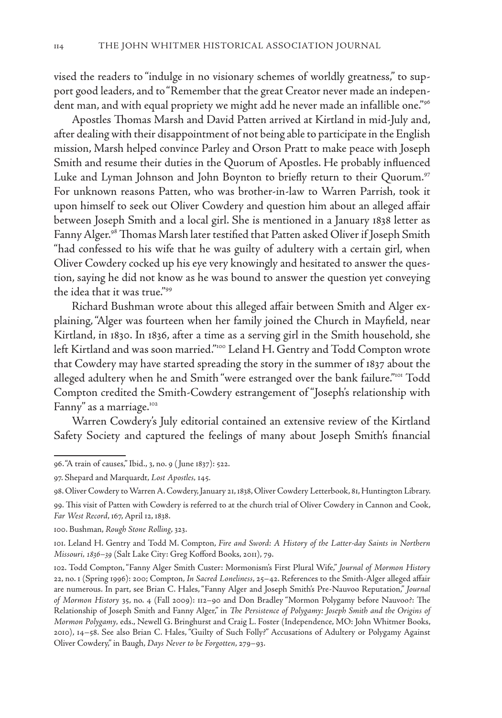vised the readers to "indulge in no visionary schemes of worldly greatness," to support good leaders, and to "Remember that the great Creator never made an independent man, and with equal propriety we might add he never made an infallible one."<sup>96</sup>

Apostles Thomas Marsh and David Patten arrived at Kirtland in mid-July and, after dealing with their disappointment of not being able to participate in the English mission, Marsh helped convince Parley and Orson Pratt to make peace with Joseph Smith and resume their duties in the Quorum of Apostles. He probably influenced Luke and Lyman Johnson and John Boynton to briefly return to their Quorum.<sup>97</sup> For unknown reasons Patten, who was brother-in-law to Warren Parrish, took it upon himself to seek out Oliver Cowdery and question him about an alleged affair between Joseph Smith and a local girl. She is mentioned in a January 1838 letter as Fanny Alger.98 Thomas Marsh later testified that Patten asked Oliver if Joseph Smith "had confessed to his wife that he was guilty of adultery with a certain girl, when Oliver Cowdery cocked up his eye very knowingly and hesitated to answer the question, saying he did not know as he was bound to answer the question yet conveying the idea that it was true."99

Richard Bushman wrote about this alleged affair between Smith and Alger explaining, "Alger was fourteen when her family joined the Church in Mayfield, near Kirtland, in 1830. In 1836, after a time as a serving girl in the Smith household, she left Kirtland and was soon married."<sup>100</sup> Leland H. Gentry and Todd Compton wrote that Cowdery may have started spreading the story in the summer of 1837 about the alleged adultery when he and Smith "were estranged over the bank failure."<sup>101</sup> Todd Compton credited the Smith-Cowdery estrangement of "Joseph's relationship with Fanny" as a marriage.<sup>102</sup>

Warren Cowdery's July editorial contained an extensive review of the Kirtland Safety Society and captured the feelings of many about Joseph Smith's financial

101. Leland H. Gentry and Todd M. Compton, *Fire and Sword: A History of the Latter-day Saints in Northern Missouri, 1836–39* (Salt Lake City: Greg Kofford Books, 2011), 79.

<sup>96. &</sup>quot;A train of causes," Ibid., 3, no. 9 ( June 1837): 522.

<sup>97.</sup> Shepard and Marquardt, *Lost Apostles,* 145*.*

<sup>98.</sup> Oliver Cowdery to Warren A. Cowdery, January 21, 1838, Oliver Cowdery Letterbook, 81, Huntington Library.

<sup>99.</sup> This visit of Patten with Cowdery is referred to at the church trial of Oliver Cowdery in Cannon and Cook, *Far West Record*, 167, April 12, 1838.

<sup>100.</sup> Bushman, *Rough Stone Rolling*, 323.

<sup>102.</sup> Todd Compton, "Fanny Alger Smith Custer: Mormonism's First Plural Wife," *Journal of Mormon History*  22, no. 1 (Spring 1996): 200; Compton, *In Sacred Loneliness*, 25–42. References to the Smith-Alger alleged affair are numerous. In part, see Brian C. Hales, "Fanny Alger and Joseph Smith's Pre-Nauvoo Reputation," *Journal of Mormon History* 35, no. 4 (Fall 2009): 112–90 and Don Bradley "Mormon Polygamy before Nauvoo?: The Relationship of Joseph Smith and Fanny Alger," in *The Persistence of Polygamy: Joseph Smith and the Origins of Mormon Polygamy,* eds., Newell G. Bringhurst and Craig L. Foster (Independence, MO: John Whitmer Books, 2010), 14–58. See also Brian C. Hales, "Guilty of Such Folly?" Accusations of Adultery or Polygamy Against Oliver Cowdery," in Baugh, *Days Never to be Forgotten*, 279–93.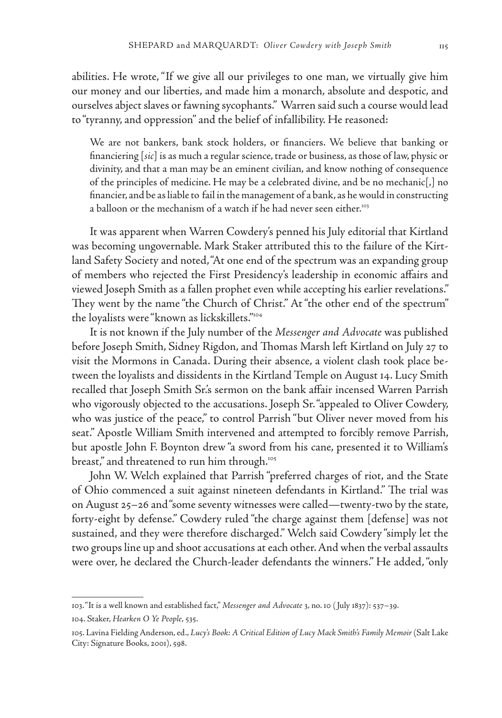abilities. He wrote, "If we give all our privileges to one man, we virtually give him our money and our liberties, and made him a monarch, absolute and despotic, and ourselves abject slaves or fawning sycophants." Warren said such a course would lead to "tyranny, and oppression" and the belief of infallibility. He reasoned:

We are not bankers, bank stock holders, or financiers. We believe that banking or financiering [*sic*] is as much a regular science, trade or business, as those of law, physic or divinity, and that a man may be an eminent civilian, and know nothing of consequence of the principles of medicine. He may be a celebrated divine, and be no mechanic[,] no financier, and be as liable to fail in the management of a bank, as he would in constructing a balloon or the mechanism of a watch if he had never seen either.<sup>103</sup>

It was apparent when Warren Cowdery's penned his July editorial that Kirtland was becoming ungovernable. Mark Staker attributed this to the failure of the Kirtland Safety Society and noted, "At one end of the spectrum was an expanding group of members who rejected the First Presidency's leadership in economic affairs and viewed Joseph Smith as a fallen prophet even while accepting his earlier revelations." They went by the name "the Church of Christ." At "the other end of the spectrum" the loyalists were "known as lickskillets."<sup>104</sup>

It is not known if the July number of the *Messenger and Advocate* was published before Joseph Smith, Sidney Rigdon, and Thomas Marsh left Kirtland on July 27 to visit the Mormons in Canada. During their absence, a violent clash took place between the loyalists and dissidents in the Kirtland Temple on August 14. Lucy Smith recalled that Joseph Smith Sr.'s sermon on the bank affair incensed Warren Parrish who vigorously objected to the accusations. Joseph Sr. "appealed to Oliver Cowdery, who was justice of the peace," to control Parrish "but Oliver never moved from his seat." Apostle William Smith intervened and attempted to forcibly remove Parrish, but apostle John F. Boynton drew "a sword from his cane, presented it to William's breast," and threatened to run him through.<sup>105</sup>

John W. Welch explained that Parrish "preferred charges of riot, and the State of Ohio commenced a suit against nineteen defendants in Kirtland." The trial was on August 25–26 and "some seventy witnesses were called—twenty-two by the state, forty-eight by defense." Cowdery ruled "the charge against them [defense] was not sustained, and they were therefore discharged." Welch said Cowdery "simply let the two groups line up and shoot accusations at each other. And when the verbal assaults were over, he declared the Church-leader defendants the winners." He added, "only

<sup>103. &</sup>quot;It is a well known and established fact," *Messenger and Advocate* 3, no. 10 ( July 1837): 537–39.

<sup>104.</sup> Staker, *Hearken O Ye People*, 535.

<sup>105.</sup> Lavina Fielding Anderson, ed., *Lucy's Book: A Critical Edition of Lucy Mack Smith's Family Memoir* (Salt Lake City: Signature Books, 2001), 598.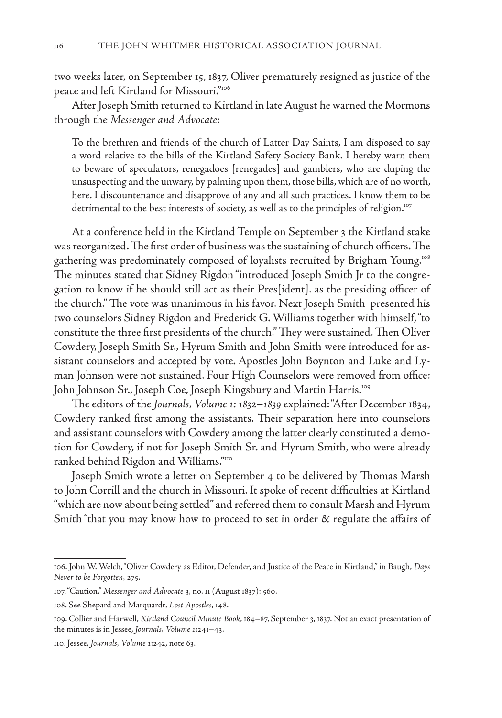two weeks later, on September 15, 1837, Oliver prematurely resigned as justice of the peace and left Kirtland for Missouri."106

After Joseph Smith returned to Kirtland in late August he warned the Mormons through the *Messenger and Advocate*:

To the brethren and friends of the church of Latter Day Saints, I am disposed to say a word relative to the bills of the Kirtland Safety Society Bank. I hereby warn them to beware of speculators, renegadoes [renegades] and gamblers, who are duping the unsuspecting and the unwary, by palming upon them, those bills, which are of no worth, here. I discountenance and disapprove of any and all such practices. I know them to be detrimental to the best interests of society, as well as to the principles of religion.<sup>107</sup>

At a conference held in the Kirtland Temple on September 3 the Kirtland stake was reorganized. The first order of business was the sustaining of church officers. The gathering was predominately composed of loyalists recruited by Brigham Young.<sup>108</sup> The minutes stated that Sidney Rigdon "introduced Joseph Smith Jr to the congregation to know if he should still act as their Pres[ident]. as the presiding officer of the church." The vote was unanimous in his favor. Next Joseph Smith presented his two counselors Sidney Rigdon and Frederick G. Williams together with himself, "to constitute the three first presidents of the church." They were sustained. Then Oliver Cowdery, Joseph Smith Sr., Hyrum Smith and John Smith were introduced for assistant counselors and accepted by vote. Apostles John Boynton and Luke and Lyman Johnson were not sustained. Four High Counselors were removed from office: John Johnson Sr., Joseph Coe, Joseph Kingsbury and Martin Harris.<sup>109</sup>

The editors of the *Journals, Volume 1: 1832–1839* explained: "After December 1834, Cowdery ranked first among the assistants. Their separation here into counselors and assistant counselors with Cowdery among the latter clearly constituted a demotion for Cowdery, if not for Joseph Smith Sr. and Hyrum Smith, who were already ranked behind Rigdon and Williams."110

Joseph Smith wrote a letter on September 4 to be delivered by Thomas Marsh to John Corrill and the church in Missouri. It spoke of recent difficulties at Kirtland "which are now about being settled" and referred them to consult Marsh and Hyrum Smith "that you may know how to proceed to set in order & regulate the affairs of

<sup>106.</sup> John W. Welch, "Oliver Cowdery as Editor, Defender, and Justice of the Peace in Kirtland," in Baugh, *Days Never to be Forgotten,* 275.

<sup>107. &</sup>quot;Caution," *Messenger and Advocate* 3, no. 11 (August 1837): 560.

<sup>108.</sup> See Shepard and Marquardt, *Lost Apostles*, 148.

<sup>109.</sup> Collier and Harwell, *Kirtland Council Minute Book*, 184–87, September 3, 1837. Not an exact presentation of the minutes is in Jessee, *Journals, Volume 1*:241–43.

<sup>110.</sup> Jessee, *Journals, Volume 1*:242, note 63.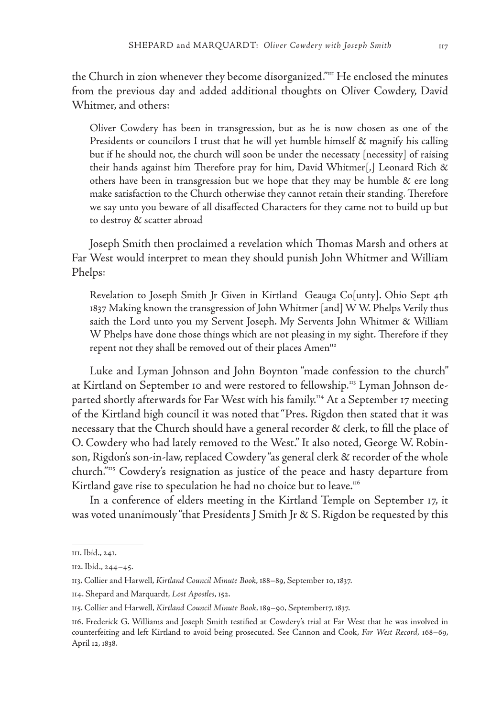the Church in zion whenever they become disorganized."111 He enclosed the minutes from the previous day and added additional thoughts on Oliver Cowdery, David Whitmer, and others:

Oliver Cowdery has been in transgression, but as he is now chosen as one of the Presidents or councilors I trust that he will yet humble himself & magnify his calling but if he should not, the church will soon be under the necessaty [necessity] of raising their hands against him Therefore pray for him, David Whitmer[,] Leonard Rich & others have been in transgression but we hope that they may be humble  $\alpha$  ere long make satisfaction to the Church otherwise they cannot retain their standing. Therefore we say unto you beware of all disaffected Characters for they came not to build up but to destroy & scatter abroad

Joseph Smith then proclaimed a revelation which Thomas Marsh and others at Far West would interpret to mean they should punish John Whitmer and William Phelps:

Revelation to Joseph Smith Jr Given in Kirtland Geauga Co[unty]. Ohio Sept 4th 1837 Making known the transgression of John Whitmer [and] W W. Phelps Verily thus saith the Lord unto you my Servent Joseph. My Servents John Whitmer & William W Phelps have done those things which are not pleasing in my sight. Therefore if they repent not they shall be removed out of their places Amen<sup>112</sup>

Luke and Lyman Johnson and John Boynton "made confession to the church" at Kirtland on September 10 and were restored to fellowship.<sup>113</sup> Lyman Johnson departed shortly afterwards for Far West with his family.<sup>114</sup> At a September 17 meeting of the Kirtland high council it was noted that "Pres. Rigdon then stated that it was necessary that the Church should have a general recorder & clerk, to fill the place of O. Cowdery who had lately removed to the West." It also noted, George W. Robinson, Rigdon's son-in-law, replaced Cowdery "as general clerk & recorder of the whole church."115 Cowdery's resignation as justice of the peace and hasty departure from Kirtland gave rise to speculation he had no choice but to leave. $116$ 

In a conference of elders meeting in the Kirtland Temple on September 17, it was voted unanimously "that Presidents J Smith Jr & S. Rigdon be requested by this

<sup>111.</sup> Ibid., 241.

<sup>112.</sup> Ibid., 244–45.

<sup>113.</sup> Collier and Harwell, *Kirtland Council Minute Book*, 188–89, September 10, 1837.

<sup>114.</sup> Shepard and Marquardt, *Lost Apostles*, 152.

<sup>115.</sup> Collier and Harwell, *Kirtland Council Minute Book*, 189–90, September17, 1837.

<sup>116.</sup> Frederick G. Williams and Joseph Smith testified at Cowdery's trial at Far West that he was involved in counterfeiting and left Kirtland to avoid being prosecuted. See Cannon and Cook, *Far West Record,* 168–69, April 12, 1838.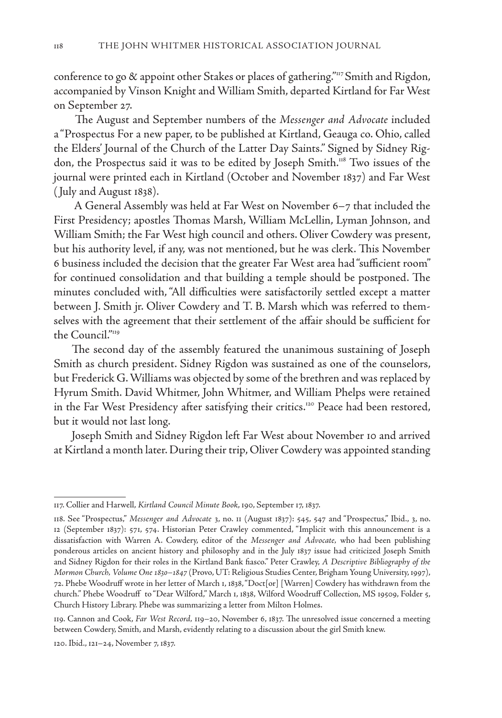conference to go & appoint other Stakes or places of gathering."117 Smith and Rigdon, accompanied by Vinson Knight and William Smith, departed Kirtland for Far West on September 27.

 The August and September numbers of the *Messenger and Advocate* included a "Prospectus For a new paper, to be published at Kirtland, Geauga co. Ohio, called the Elders' Journal of the Church of the Latter Day Saints." Signed by Sidney Rigdon, the Prospectus said it was to be edited by Joseph Smith.<sup>118</sup> Two issues of the journal were printed each in Kirtland (October and November 1837) and Far West ( July and August 1838).

 A General Assembly was held at Far West on November 6–7 that included the First Presidency; apostles Thomas Marsh, William McLellin, Lyman Johnson, and William Smith; the Far West high council and others. Oliver Cowdery was present, but his authority level, if any, was not mentioned, but he was clerk. This November 6 business included the decision that the greater Far West area had "sufficient room" for continued consolidation and that building a temple should be postponed. The minutes concluded with, "All difficulties were satisfactorily settled except a matter between J. Smith jr. Oliver Cowdery and T. B. Marsh which was referred to themselves with the agreement that their settlement of the affair should be sufficient for the Council."119

The second day of the assembly featured the unanimous sustaining of Joseph Smith as church president. Sidney Rigdon was sustained as one of the counselors, but Frederick G. Williams was objected by some of the brethren and was replaced by Hyrum Smith. David Whitmer, John Whitmer, and William Phelps were retained in the Far West Presidency after satisfying their critics.<sup>120</sup> Peace had been restored, but it would not last long.

Joseph Smith and Sidney Rigdon left Far West about November 10 and arrived at Kirtland a month later. During their trip, Oliver Cowdery was appointed standing

<sup>117.</sup> Collier and Harwell, *Kirtland Council Minute Book*, 190, September 17, 1837.

<sup>118.</sup> See "Prospectus," *Messenger and Advocate* 3, no. 11 (August 1837): 545, 547 and "Prospectus," Ibid., 3, no. 12 (September 1837): 571, 574. Historian Peter Crawley commented, "Implicit with this announcement is a dissatisfaction with Warren A. Cowdery, editor of the *Messenger and Advocate,* who had been publishing ponderous articles on ancient history and philosophy and in the July 1837 issue had criticized Joseph Smith and Sidney Rigdon for their roles in the Kirtland Bank fiasco." Peter Crawley, *A Descriptive Bibliography of the Mormon Church, Volume One 1830–1847* (Provo, UT: Religious Studies Center, Brigham Young University, 1997), 72. Phebe Woodruff wrote in her letter of March 1, 1838, "Doct[or] [Warren] Cowdery has withdrawn from the church." Phebe Woodruff to "Dear Wilford," March 1, 1838, Wilford Woodruff Collection, MS 19509, Folder 5, Church History Library. Phebe was summarizing a letter from Milton Holmes.

<sup>119.</sup> Cannon and Cook, *Far West Record,* 119–20, November 6, 1837. The unresolved issue concerned a meeting between Cowdery, Smith, and Marsh, evidently relating to a discussion about the girl Smith knew.

<sup>120.</sup> Ibid., 121–24, November 7, 1837.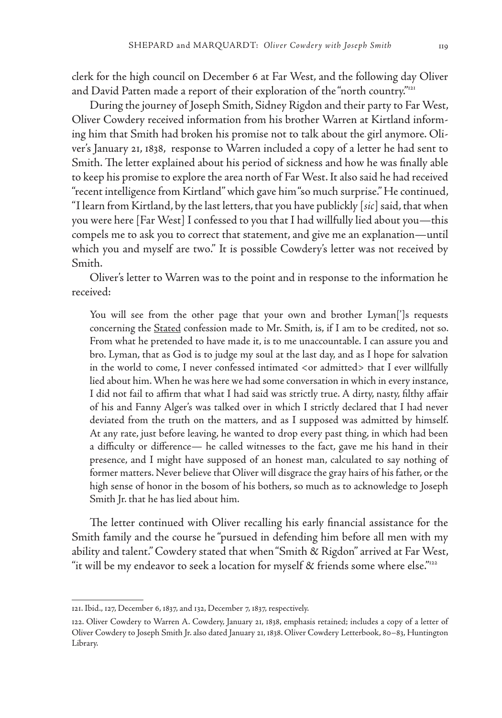clerk for the high council on December 6 at Far West, and the following day Oliver and David Patten made a report of their exploration of the "north country."121

During the journey of Joseph Smith, Sidney Rigdon and their party to Far West, Oliver Cowdery received information from his brother Warren at Kirtland informing him that Smith had broken his promise not to talk about the girl anymore. Oliver's January 21, 1838, response to Warren included a copy of a letter he had sent to Smith. The letter explained about his period of sickness and how he was finally able to keep his promise to explore the area north of Far West. It also said he had received "recent intelligence from Kirtland" which gave him "so much surprise." He continued, "I learn from Kirtland, by the last letters, that you have publickly [*sic*] said, that when you were here [Far West] I confessed to you that I had willfully lied about you—this compels me to ask you to correct that statement, and give me an explanation—until which you and myself are two." It is possible Cowdery's letter was not received by Smith.

Oliver's letter to Warren was to the point and in response to the information he received:

You will see from the other page that your own and brother Lyman<sup>[']</sup>s requests concerning the Stated confession made to Mr. Smith, is, if I am to be credited, not so. From what he pretended to have made it, is to me unaccountable. I can assure you and bro. Lyman, that as God is to judge my soul at the last day, and as I hope for salvation in the world to come, I never confessed intimated <or admitted> that I ever willfully lied about him. When he was here we had some conversation in which in every instance, I did not fail to affirm that what I had said was strictly true. A dirty, nasty, filthy affair of his and Fanny Alger's was talked over in which I strictly declared that I had never deviated from the truth on the matters, and as I supposed was admitted by himself. At any rate, just before leaving, he wanted to drop every past thing, in which had been a difficulty or difference— he called witnesses to the fact, gave me his hand in their presence, and I might have supposed of an honest man, calculated to say nothing of former matters. Never believe that Oliver will disgrace the gray hairs of his father, or the high sense of honor in the bosom of his bothers, so much as to acknowledge to Joseph Smith Jr. that he has lied about him.

The letter continued with Oliver recalling his early financial assistance for the Smith family and the course he "pursued in defending him before all men with my ability and talent." Cowdery stated that when "Smith & Rigdon" arrived at Far West, "it will be my endeavor to seek a location for myself  $\alpha$  friends some where else." $^{122}$ 

<sup>121.</sup> Ibid., 127, December 6, 1837, and 132, December 7, 1837, respectively.

<sup>122.</sup> Oliver Cowdery to Warren A. Cowdery, January 21, 1838, emphasis retained; includes a copy of a letter of Oliver Cowdery to Joseph Smith Jr. also dated January 21, 1838. Oliver Cowdery Letterbook, 80–83, Huntington Library.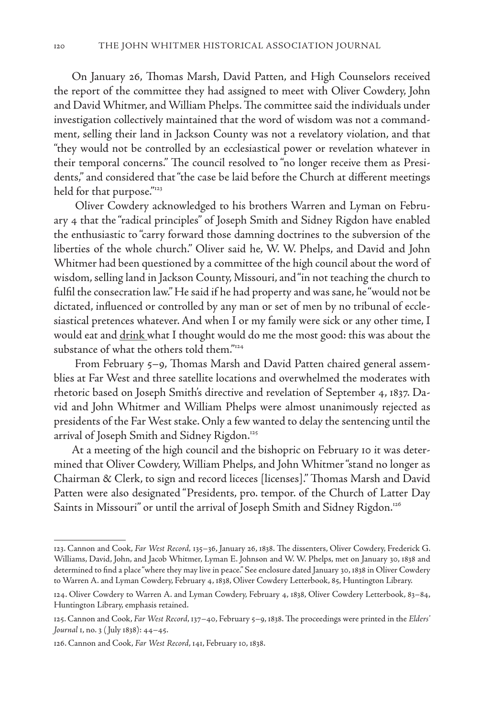On January 26, Thomas Marsh, David Patten, and High Counselors received the report of the committee they had assigned to meet with Oliver Cowdery, John and David Whitmer, and William Phelps. The committee said the individuals under investigation collectively maintained that the word of wisdom was not a commandment, selling their land in Jackson County was not a revelatory violation, and that "they would not be controlled by an ecclesiastical power or revelation whatever in their temporal concerns." The council resolved to "no longer receive them as Presidents," and considered that "the case be laid before the Church at different meetings held for that purpose."<sup>123</sup>

 Oliver Cowdery acknowledged to his brothers Warren and Lyman on February 4 that the "radical principles" of Joseph Smith and Sidney Rigdon have enabled the enthusiastic to "carry forward those damning doctrines to the subversion of the liberties of the whole church." Oliver said he, W. W. Phelps, and David and John Whitmer had been questioned by a committee of the high council about the word of wisdom, selling land in Jackson County, Missouri, and "in not teaching the church to fulfil the consecration law." He said if he had property and was sane, he "would not be dictated, influenced or controlled by any man or set of men by no tribunal of ecclesiastical pretences whatever. And when I or my family were sick or any other time, I would eat and drink what I thought would do me the most good: this was about the substance of what the others told them."124

 From February 5–9, Thomas Marsh and David Patten chaired general assemblies at Far West and three satellite locations and overwhelmed the moderates with rhetoric based on Joseph Smith's directive and revelation of September 4, 1837. David and John Whitmer and William Phelps were almost unanimously rejected as presidents of the Far West stake. Only a few wanted to delay the sentencing until the arrival of Joseph Smith and Sidney Rigdon.<sup>125</sup>

At a meeting of the high council and the bishopric on February 10 it was determined that Oliver Cowdery, William Phelps, and John Whitmer "stand no longer as Chairman & Clerk, to sign and record liceces [licenses]." Thomas Marsh and David Patten were also designated "Presidents, pro. tempor. of the Church of Latter Day Saints in Missouri" or until the arrival of Joseph Smith and Sidney Rigdon.<sup>126</sup>

<sup>123.</sup> Cannon and Cook, *Far West Record,* 135–36, January 26, 1838. The dissenters, Oliver Cowdery, Frederick G. Williams, David, John, and Jacob Whitmer, Lyman E. Johnson and W. W. Phelps, met on January 30, 1838 and determined to find a place "where they may live in peace." See enclosure dated January 30, 1838 in Oliver Cowdery to Warren A. and Lyman Cowdery, February 4, 1838, Oliver Cowdery Letterbook, 85, Huntington Library.

<sup>124.</sup> Oliver Cowdery to Warren A. and Lyman Cowdery, February 4, 1838, Oliver Cowdery Letterbook, 83–84, Huntington Library, emphasis retained.

<sup>125.</sup> Cannon and Cook, *Far West Record*, 137–40, February 5–9, 1838. The proceedings were printed in the *Elders' Journal* 1, no. 3 ( July 1838): 44–45.

<sup>126.</sup> Cannon and Cook, *Far West Record*, 141, February 10, 1838.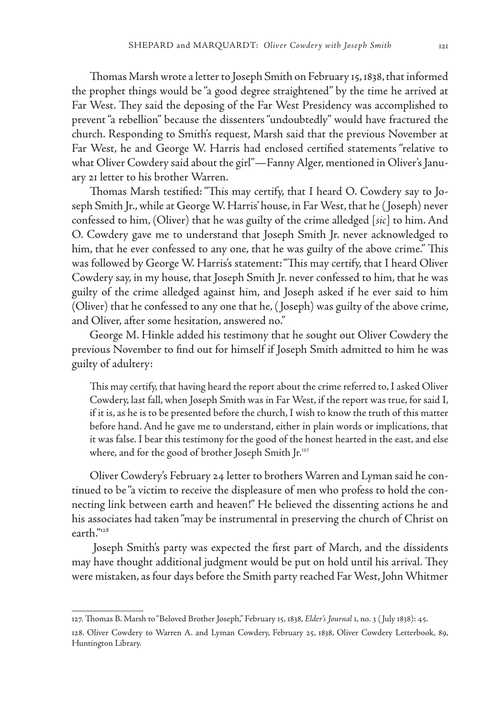Thomas Marsh wrote a letter to Joseph Smith on February 15, 1838, that informed the prophet things would be "a good degree straightened" by the time he arrived at Far West. They said the deposing of the Far West Presidency was accomplished to prevent "a rebellion" because the dissenters "undoubtedly" would have fractured the church. Responding to Smith's request, Marsh said that the previous November at Far West, he and George W. Harris had enclosed certified statements "relative to what Oliver Cowdery said about the girl"—Fanny Alger, mentioned in Oliver's January 21 letter to his brother Warren.

Thomas Marsh testified: "This may certify, that I heard O. Cowdery say to Joseph Smith Jr., while at George W. Harris' house, in Far West, that he ( Joseph) never confessed to him, (Oliver) that he was guilty of the crime alledged [*sic*] to him. And O. Cowdery gave me to understand that Joseph Smith Jr. never acknowledged to him, that he ever confessed to any one, that he was guilty of the above crime." This was followed by George W. Harris's statement: "This may certify, that I heard Oliver Cowdery say, in my house, that Joseph Smith Jr. never confessed to him, that he was guilty of the crime alledged against him, and Joseph asked if he ever said to him (Oliver) that he confessed to any one that he, ( Joseph) was guilty of the above crime, and Oliver, after some hesitation, answered no."

George M. Hinkle added his testimony that he sought out Oliver Cowdery the previous November to find out for himself if Joseph Smith admitted to him he was guilty of adultery:

This may certify, that having heard the report about the crime referred to, I asked Oliver Cowdery, last fall, when Joseph Smith was in Far West, if the report was true, for said I, if it is, as he is to be presented before the church, I wish to know the truth of this matter before hand. And he gave me to understand, either in plain words or implications, that it was false. I bear this testimony for the good of the honest hearted in the east, and else where, and for the good of brother Joseph Smith Jr.<sup>127</sup>

Oliver Cowdery's February 24 letter to brothers Warren and Lyman said he continued to be "a victim to receive the displeasure of men who profess to hold the connecting link between earth and heaven!" He believed the dissenting actions he and his associates had taken "may be instrumental in preserving the church of Christ on earth."128

 Joseph Smith's party was expected the first part of March, and the dissidents may have thought additional judgment would be put on hold until his arrival. They were mistaken, as four days before the Smith party reached Far West, John Whitmer

<sup>127.</sup> Thomas B. Marsh to "Beloved Brother Joseph," February 15, 1838, *Elder's Journal* 1, no. 3 ( July 1838): 45.

<sup>128.</sup> Oliver Cowdery to Warren A. and Lyman Cowdery, February 25, 1838, Oliver Cowdery Letterbook, 89, Huntington Library.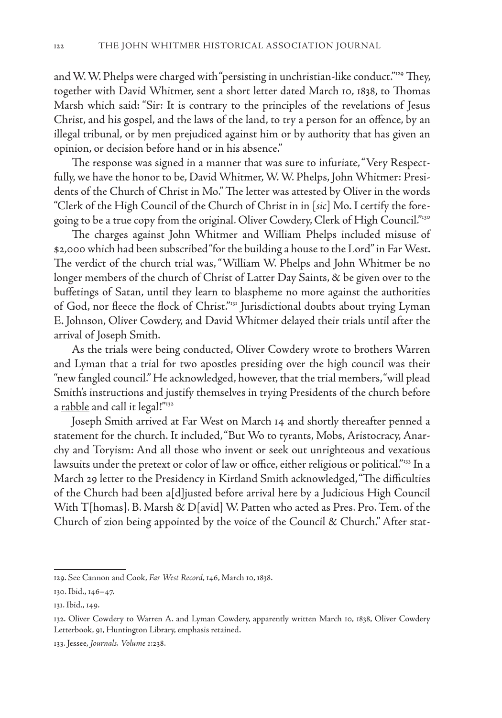and W. W. Phelps were charged with "persisting in unchristian-like conduct."<sup>129</sup> They, together with David Whitmer, sent a short letter dated March 10, 1838, to Thomas Marsh which said: "Sir: It is contrary to the principles of the revelations of Jesus Christ, and his gospel, and the laws of the land, to try a person for an offence, by an illegal tribunal, or by men prejudiced against him or by authority that has given an opinion, or decision before hand or in his absence."

The response was signed in a manner that was sure to infuriate, "Very Respectfully, we have the honor to be, David Whitmer, W. W. Phelps, John Whitmer: Presidents of the Church of Christ in Mo." The letter was attested by Oliver in the words "Clerk of the High Council of the Church of Christ in in [*sic*] Mo. I certify the foregoing to be a true copy from the original. Oliver Cowdery, Clerk of High Council."<sup>130</sup>

The charges against John Whitmer and William Phelps included misuse of \$2,000 which had been subscribed "for the building a house to the Lord" in Far West. The verdict of the church trial was, "William W. Phelps and John Whitmer be no longer members of the church of Christ of Latter Day Saints, & be given over to the buffetings of Satan, until they learn to blaspheme no more against the authorities of God, nor fleece the flock of Christ."131 Jurisdictional doubts about trying Lyman E. Johnson, Oliver Cowdery, and David Whitmer delayed their trials until after the arrival of Joseph Smith.

As the trials were being conducted, Oliver Cowdery wrote to brothers Warren and Lyman that a trial for two apostles presiding over the high council was their "new fangled council." He acknowledged, however, that the trial members, "will plead Smith's instructions and justify themselves in trying Presidents of the church before a <u>rabble</u> and call it legal!"<sup>132</sup>

Joseph Smith arrived at Far West on March 14 and shortly thereafter penned a statement for the church. It included, "But Wo to tyrants, Mobs, Aristocracy, Anarchy and Toryism: And all those who invent or seek out unrighteous and vexatious lawsuits under the pretext or color of law or office, either religious or political."133 In a March 29 letter to the Presidency in Kirtland Smith acknowledged, "The difficulties of the Church had been a[d]justed before arrival here by a Judicious High Council With T[homas]. B. Marsh & D[avid] W. Patten who acted as Pres. Pro. Tem. of the Church of zion being appointed by the voice of the Council & Church." After stat-

<sup>129.</sup> See Cannon and Cook, *Far West Record*, 146, March 10, 1838.

<sup>130.</sup> Ibid., 146–47.

<sup>131.</sup> Ibid., 149.

<sup>132.</sup> Oliver Cowdery to Warren A. and Lyman Cowdery, apparently written March 10, 1838, Oliver Cowdery Letterbook, 91, Huntington Library, emphasis retained.

<sup>133.</sup> Jessee, *Journals, Volume 1*:238.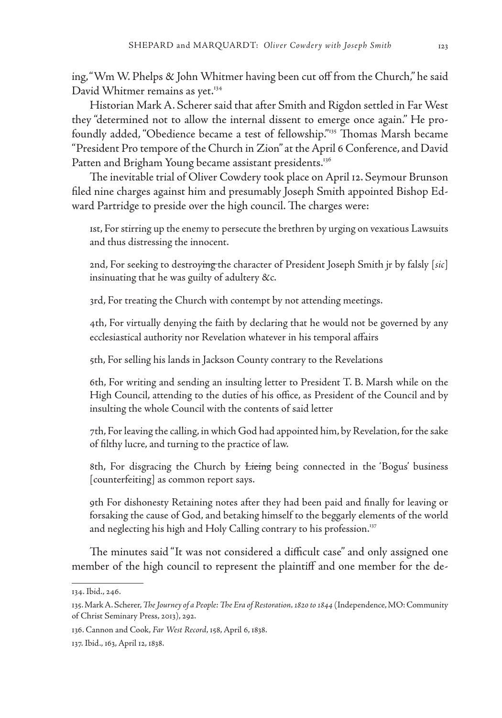ing, "Wm W. Phelps & John Whitmer having been cut off from the Church," he said David Whitmer remains as yet.<sup>134</sup>

Historian Mark A. Scherer said that after Smith and Rigdon settled in Far West they "determined not to allow the internal dissent to emerge once again." He profoundly added, "Obedience became a test of fellowship."135 Thomas Marsh became "President Pro tempore of the Church in Zion" at the April 6 Conference, and David Patten and Brigham Young became assistant presidents.<sup>136</sup>

The inevitable trial of Oliver Cowdery took place on April 12. Seymour Brunson filed nine charges against him and presumably Joseph Smith appointed Bishop Edward Partridge to preside over the high council. The charges were:

1st, For stirring up the enemy to persecute the brethren by urging on vexatious Lawsuits and thus distressing the innocent.

2nd, For seeking to destroying the character of President Joseph Smith jr by falsly [*sic*] insinuating that he was guilty of adultery &c.

3rd, For treating the Church with contempt by not attending meetings.

4th, For virtually denying the faith by declaring that he would not be governed by any ecclesiastical authority nor Revelation whatever in his temporal affairs

5th, For selling his lands in Jackson County contrary to the Revelations

6th, For writing and sending an insulting letter to President T. B. Marsh while on the High Council, attending to the duties of his office, as President of the Council and by insulting the whole Council with the contents of said letter

7th, For leaving the calling, in which God had appointed him, by Revelation, for the sake of filthy lucre, and turning to the practice of law.

8th, For disgracing the Church by <del>Lieing</del> being connected in the 'Bogus' business [counterfeiting] as common report says.

9th For dishonesty Retaining notes after they had been paid and finally for leaving or forsaking the cause of God, and betaking himself to the beggarly elements of the world and neglecting his high and Holy Calling contrary to his profession.<sup>137</sup>

The minutes said "It was not considered a difficult case" and only assigned one member of the high council to represent the plaintiff and one member for the de-

<sup>134.</sup> Ibid., 246.

<sup>135.</sup> Mark A. Scherer, *The Journey of a People: The Era of Restoration, 1820 to 1844* (Independence, MO: Community of Christ Seminary Press, 2013), 292.

<sup>136.</sup> Cannon and Cook, *Far West Record*, 158, April 6, 1838.

<sup>137.</sup> Ibid., 163, April 12, 1838.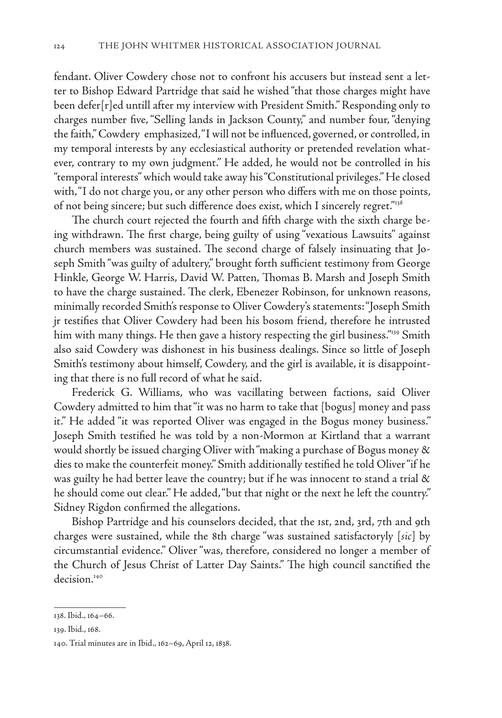fendant. Oliver Cowdery chose not to confront his accusers but instead sent a letter to Bishop Edward Partridge that said he wished "that those charges might have been defer[r]ed untill after my interview with President Smith." Responding only to charges number five, "Selling lands in Jackson County," and number four, "denying the faith," Cowdery emphasized, "I will not be influenced, governed, or controlled, in my temporal interests by any ecclesiastical authority or pretended revelation whatever, contrary to my own judgment." He added, he would not be controlled in his "temporal interests" which would take away his "Constitutional privileges." He closed with, "I do not charge you, or any other person who differs with me on those points, of not being sincere; but such difference does exist, which I sincerely regret."138

The church court rejected the fourth and fifth charge with the sixth charge being withdrawn. The first charge, being guilty of using "vexatious Lawsuits" against church members was sustained. The second charge of falsely insinuating that Joseph Smith "was guilty of adultery," brought forth sufficient testimony from George Hinkle, George W. Harris, David W. Patten, Thomas B. Marsh and Joseph Smith to have the charge sustained. The clerk, Ebenezer Robinson, for unknown reasons, minimally recorded Smith's response to Oliver Cowdery's statements: "Joseph Smith jr testifies that Oliver Cowdery had been his bosom friend, therefore he intrusted him with many things. He then gave a history respecting the girl business."<sup>139</sup> Smith also said Cowdery was dishonest in his business dealings. Since so little of Joseph Smith's testimony about himself, Cowdery, and the girl is available, it is disappointing that there is no full record of what he said.

Frederick G. Williams, who was vacillating between factions, said Oliver Cowdery admitted to him that "it was no harm to take that [bogus] money and pass it." He added "it was reported Oliver was engaged in the Bogus money business." Joseph Smith testified he was told by a non-Mormon at Kirtland that a warrant would shortly be issued charging Oliver with "making a purchase of Bogus money & dies to make the counterfeit money." Smith additionally testified he told Oliver "if he was guilty he had better leave the country; but if he was innocent to stand a trial & he should come out clear." He added, "but that night or the next he left the country." Sidney Rigdon confirmed the allegations.

Bishop Partridge and his counselors decided, that the 1st, 2nd, 3rd, 7th and 9th charges were sustained, while the 8th charge "was sustained satisfactoryly [*sic*] by circumstantial evidence." Oliver "was, therefore, considered no longer a member of the Church of Jesus Christ of Latter Day Saints." The high council sanctified the decision.<sup>140</sup>

<sup>138.</sup> Ibid., 164–66.

<sup>139.</sup> Ibid., 168.

<sup>140.</sup> Trial minutes are in Ibid., 162–69, April 12, 1838.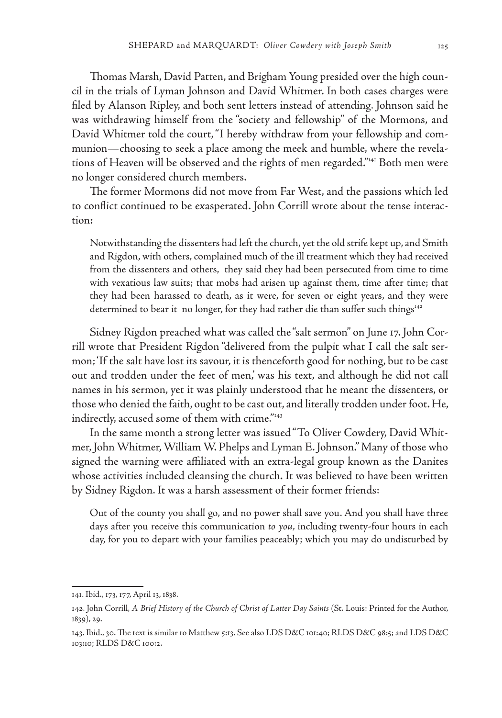Thomas Marsh, David Patten, and Brigham Young presided over the high council in the trials of Lyman Johnson and David Whitmer. In both cases charges were filed by Alanson Ripley, and both sent letters instead of attending. Johnson said he was withdrawing himself from the "society and fellowship" of the Mormons, and David Whitmer told the court, "I hereby withdraw from your fellowship and communion—choosing to seek a place among the meek and humble, where the revelations of Heaven will be observed and the rights of men regarded."141 Both men were no longer considered church members.

The former Mormons did not move from Far West, and the passions which led to conflict continued to be exasperated. John Corrill wrote about the tense interaction:

Notwithstanding the dissenters had left the church, yet the old strife kept up, and Smith and Rigdon, with others, complained much of the ill treatment which they had received from the dissenters and others, they said they had been persecuted from time to time with vexatious law suits; that mobs had arisen up against them, time after time; that they had been harassed to death, as it were, for seven or eight years, and they were determined to bear it no longer, for they had rather die than suffer such things $142$ 

Sidney Rigdon preached what was called the "salt sermon" on June 17. John Corrill wrote that President Rigdon "delivered from the pulpit what I call the salt sermon; 'If the salt have lost its savour, it is thenceforth good for nothing, but to be cast out and trodden under the feet of men,' was his text, and although he did not call names in his sermon, yet it was plainly understood that he meant the dissenters, or those who denied the faith, ought to be cast out, and literally trodden under foot. He, indirectly, accused some of them with crime."143

In the same month a strong letter was issued "To Oliver Cowdery, David Whitmer, John Whitmer, William W. Phelps and Lyman E. Johnson." Many of those who signed the warning were affiliated with an extra-legal group known as the Danites whose activities included cleansing the church. It was believed to have been written by Sidney Rigdon. It was a harsh assessment of their former friends:

Out of the county you shall go, and no power shall save you. And you shall have three days after you receive this communication *to you*, including twenty-four hours in each day, for you to depart with your families peaceably; which you may do undisturbed by

<sup>141.</sup> Ibid., 173, 177, April 13, 1838.

<sup>142.</sup> John Corrill, *A Brief History of the Church of Christ of Latter Day Saints* (St. Louis: Printed for the Author, 1839), 29.

<sup>143.</sup> Ibid., 30. The text is similar to Matthew 5:13. See also LDS D&C 101:40; RLDS D&C 98:5; and LDS D&C 103:10; RLDS D&C 100:2.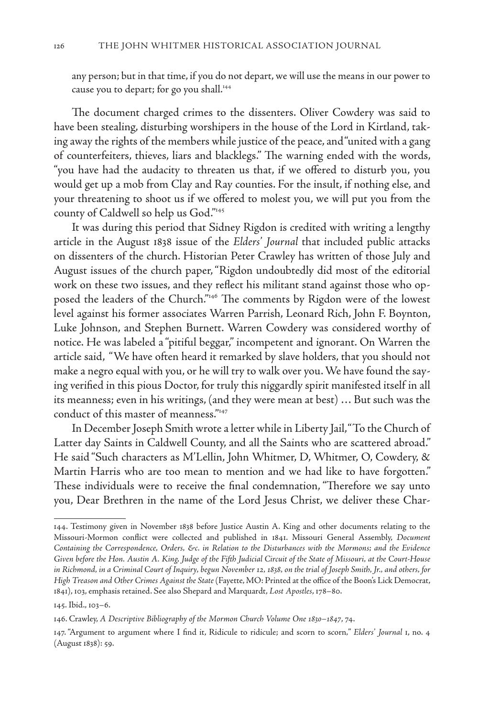any person; but in that time, if you do not depart, we will use the means in our power to cause you to depart; for go you shall.<sup>144</sup>

The document charged crimes to the dissenters. Oliver Cowdery was said to have been stealing, disturbing worshipers in the house of the Lord in Kirtland, taking away the rights of the members while justice of the peace, and "united with a gang of counterfeiters, thieves, liars and blacklegs." The warning ended with the words, "you have had the audacity to threaten us that, if we offered to disturb you, you would get up a mob from Clay and Ray counties. For the insult, if nothing else, and your threatening to shoot us if we offered to molest you, we will put you from the county of Caldwell so help us God."145

It was during this period that Sidney Rigdon is credited with writing a lengthy article in the August 1838 issue of the *Elders' Journal* that included public attacks on dissenters of the church. Historian Peter Crawley has written of those July and August issues of the church paper, "Rigdon undoubtedly did most of the editorial work on these two issues, and they reflect his militant stand against those who opposed the leaders of the Church."146 The comments by Rigdon were of the lowest level against his former associates Warren Parrish, Leonard Rich, John F. Boynton, Luke Johnson, and Stephen Burnett. Warren Cowdery was considered worthy of notice. He was labeled a "pitiful beggar," incompetent and ignorant. On Warren the article said, "We have often heard it remarked by slave holders, that you should not make a negro equal with you, or he will try to walk over you. We have found the saying verified in this pious Doctor, for truly this niggardly spirit manifested itself in all its meanness; even in his writings, (and they were mean at best) … But such was the conduct of this master of meanness."147

In December Joseph Smith wrote a letter while in Liberty Jail, "To the Church of Latter day Saints in Caldwell County, and all the Saints who are scattered abroad." He said "Such characters as M'Lellin, John Whitmer, D, Whitmer, O, Cowdery, & Martin Harris who are too mean to mention and we had like to have forgotten." These individuals were to receive the final condemnation, "Therefore we say unto you, Dear Brethren in the name of the Lord Jesus Christ, we deliver these Char-

<sup>144.</sup> Testimony given in November 1838 before Justice Austin A. King and other documents relating to the Missouri-Mormon conflict were collected and published in 1841. Missouri General Assembly, *Document Containing the Correspondence, Orders, &c. in Relation to the Disturbances with the Mormons; and the Evidence Given before the Hon. Austin A. King, Judge of the Fifth Judicial Circuit of the State of Missouri, at the Court-House in Richmond, in a Criminal Court of Inquiry, begun November 12, 1838, on the trial of Joseph Smith, Jr., and others, for High Treason and Other Crimes Against the State* (Fayette, MO: Printed at the office of the Boon's Lick Democrat, 1841), 103, emphasis retained. See also Shepard and Marquardt, *Lost Apostles*, 178–80.

<sup>145.</sup> Ibid., 103–6.

<sup>146.</sup> Crawley, *A Descriptive Bibliography of the Mormon Church Volume One 1830–1847*, 74.

<sup>147. &</sup>quot;Argument to argument where I find it, Ridicule to ridicule; and scorn to scorn*,*" *Elders' Journal* 1, no. 4 (August 1838): 59.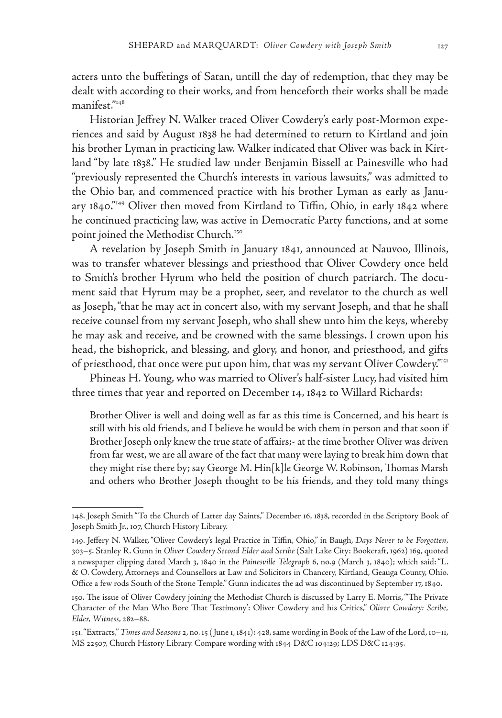acters unto the buffetings of Satan, untill the day of redemption, that they may be dealt with according to their works, and from henceforth their works shall be made manifest."148

Historian Jeffrey N. Walker traced Oliver Cowdery's early post-Mormon experiences and said by August 1838 he had determined to return to Kirtland and join his brother Lyman in practicing law. Walker indicated that Oliver was back in Kirtland "by late 1838." He studied law under Benjamin Bissell at Painesville who had "previously represented the Church's interests in various lawsuits," was admitted to the Ohio bar, and commenced practice with his brother Lyman as early as January 1840."149 Oliver then moved from Kirtland to Tiffin, Ohio, in early 1842 where he continued practicing law, was active in Democratic Party functions, and at some point joined the Methodist Church.<sup>150</sup>

A revelation by Joseph Smith in January 1841, announced at Nauvoo, Illinois, was to transfer whatever blessings and priesthood that Oliver Cowdery once held to Smith's brother Hyrum who held the position of church patriarch. The document said that Hyrum may be a prophet, seer, and revelator to the church as well as Joseph, "that he may act in concert also, with my servant Joseph, and that he shall receive counsel from my servant Joseph, who shall shew unto him the keys, whereby he may ask and receive, and be crowned with the same blessings. I crown upon his head, the bishoprick, and blessing, and glory, and honor, and priesthood, and gifts of priesthood, that once were put upon him, that was my servant Oliver Cowdery."151

Phineas H. Young, who was married to Oliver's half-sister Lucy, had visited him three times that year and reported on December 14, 1842 to Willard Richards:

Brother Oliver is well and doing well as far as this time is Concerned, and his heart is still with his old friends, and I believe he would be with them in person and that soon if Brother Joseph only knew the true state of affairs;- at the time brother Oliver was driven from far west, we are all aware of the fact that many were laying to break him down that they might rise there by; say George M. Hin[k]le George W. Robinson, Thomas Marsh and others who Brother Joseph thought to be his friends, and they told many things

<sup>148.</sup> Joseph Smith "To the Church of Latter day Saints," December 16, 1838, recorded in the Scriptory Book of Joseph Smith Jr., 107, Church History Library.

<sup>149.</sup> Jeffery N. Walker, "Oliver Cowdery's legal Practice in Tiffin, Ohio," in Baugh, *Days Never to be Forgotten,* 303–5. Stanley R. Gunn in *Oliver Cowdery Second Elder and Scribe* (Salt Lake City: Bookcraft, 1962) 169, quoted a newspaper clipping dated March 3, 1840 in the *Painesville Telegraph* 6, no.9 (March 3, 1840); which said: "L. & O. Cowdery, Attorneys and Counsellors at Law and Solicitors in Chancery, Kirtland, Geauga County, Ohio. Office a few rods South of the Stone Temple." Gunn indicates the ad was discontinued by September 17, 1840.

<sup>150.</sup> The issue of Oliver Cowdery joining the Methodist Church is discussed by Larry E. Morris, "'The Private Character of the Man Who Bore That Testimony': Oliver Cowdery and his Critics," *Oliver Cowdery: Scribe, Elder, Witness*, 282–88.

<sup>151. &</sup>quot;Extracts," *Times and Seasons* 2, no. 15 ( June 1, 1841): 428, same wording in Book of the Law of the Lord, 10–11, MS 22507, Church History Library. Compare wording with 1844 D&C 104:29; LDS D&C 124:95.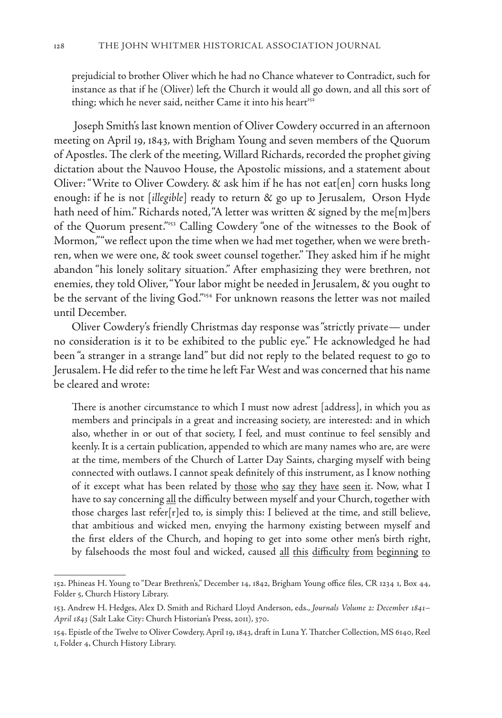prejudicial to brother Oliver which he had no Chance whatever to Contradict, such for instance as that if he (Oliver) left the Church it would all go down, and all this sort of thing; which he never said, neither Came it into his heart<sup>152</sup>

 Joseph Smith's last known mention of Oliver Cowdery occurred in an afternoon meeting on April 19, 1843, with Brigham Young and seven members of the Quorum of Apostles. The clerk of the meeting, Willard Richards, recorded the prophet giving dictation about the Nauvoo House, the Apostolic missions, and a statement about Oliver: "Write to Oliver Cowdery. & ask him if he has not eat[en] corn husks long enough: if he is not [*illegible*] ready to return & go up to Jerusalem, Orson Hyde hath need of him." Richards noted, "A letter was written & signed by the me[m]bers of the Quorum present."153 Calling Cowdery "one of the witnesses to the Book of Mormon," "we reflect upon the time when we had met together, when we were brethren, when we were one, & took sweet counsel together." They asked him if he might abandon "his lonely solitary situation." After emphasizing they were brethren, not enemies, they told Oliver, "Your labor might be needed in Jerusalem, & you ought to be the servant of the living God."154 For unknown reasons the letter was not mailed until December.

Oliver Cowdery's friendly Christmas day response was "strictly private— under no consideration is it to be exhibited to the public eye." He acknowledged he had been "a stranger in a strange land" but did not reply to the belated request to go to Jerusalem. He did refer to the time he left Far West and was concerned that his name be cleared and wrote:

There is another circumstance to which I must now adrest [address], in which you as members and principals in a great and increasing society, are interested: and in which also, whether in or out of that society, I feel, and must continue to feel sensibly and keenly. It is a certain publication, appended to which are many names who are, are were at the time, members of the Church of Latter Day Saints, charging myself with being connected with outlaws. I cannot speak definitely of this instrument, as I know nothing of it except what has been related by those who say they have seen it. Now, what I have to say concerning all the difficulty between myself and your Church, together with those charges last refer $[r]$ ed to, is simply this: I believed at the time, and still believe, that ambitious and wicked men, envying the harmony existing between myself and the first elders of the Church, and hoping to get into some other men's birth right, by falsehoods the most foul and wicked, caused all this difficulty from beginning to

<sup>152.</sup> Phineas H. Young to "Dear Brethren's," December 14, 1842, Brigham Young office files, CR 1234 1, Box 44, Folder 5, Church History Library.

<sup>153.</sup> Andrew H. Hedges, Alex D. Smith and Richard Lloyd Anderson, eds., *Journals Volume 2: December 1841– April 1843* (Salt Lake City: Church Historian's Press, 2011), 370.

<sup>154.</sup> Epistle of the Twelve to Oliver Cowdery, April 19, 1843, draft in Luna Y. Thatcher Collection, MS 6140, Reel 1, Folder 4, Church History Library.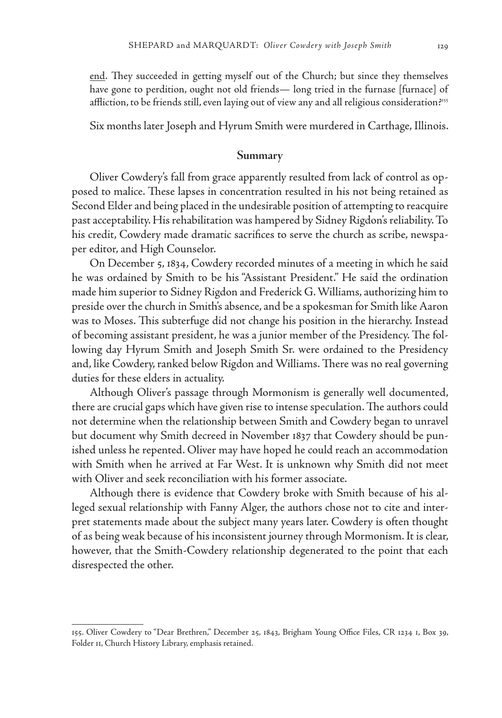end. They succeeded in getting myself out of the Church; but since they themselves have gone to perdition, ought not old friends— long tried in the furnase [furnace] of affliction, to be friends still, even laying out of view any and all religious consideration?<sup>155</sup>

Six months later Joseph and Hyrum Smith were murdered in Carthage, Illinois.

## **Summary**

Oliver Cowdery's fall from grace apparently resulted from lack of control as opposed to malice. These lapses in concentration resulted in his not being retained as Second Elder and being placed in the undesirable position of attempting to reacquire past acceptability. His rehabilitation was hampered by Sidney Rigdon's reliability. To his credit, Cowdery made dramatic sacrifices to serve the church as scribe, newspaper editor, and High Counselor.

On December 5, 1834, Cowdery recorded minutes of a meeting in which he said he was ordained by Smith to be his "Assistant President." He said the ordination made him superior to Sidney Rigdon and Frederick G. Williams, authorizing him to preside over the church in Smith's absence, and be a spokesman for Smith like Aaron was to Moses. This subterfuge did not change his position in the hierarchy. Instead of becoming assistant president, he was a junior member of the Presidency. The following day Hyrum Smith and Joseph Smith Sr. were ordained to the Presidency and, like Cowdery, ranked below Rigdon and Williams. There was no real governing duties for these elders in actuality.

Although Oliver's passage through Mormonism is generally well documented, there are crucial gaps which have given rise to intense speculation. The authors could not determine when the relationship between Smith and Cowdery began to unravel but document why Smith decreed in November 1837 that Cowdery should be punished unless he repented. Oliver may have hoped he could reach an accommodation with Smith when he arrived at Far West. It is unknown why Smith did not meet with Oliver and seek reconciliation with his former associate.

Although there is evidence that Cowdery broke with Smith because of his alleged sexual relationship with Fanny Alger, the authors chose not to cite and interpret statements made about the subject many years later. Cowdery is often thought of as being weak because of his inconsistent journey through Mormonism. It is clear, however, that the Smith-Cowdery relationship degenerated to the point that each disrespected the other.

<sup>155.</sup> Oliver Cowdery to "Dear Brethren," December 25, 1843, Brigham Young Office Files, CR 1234 1, Box 39, Folder 11, Church History Library, emphasis retained.